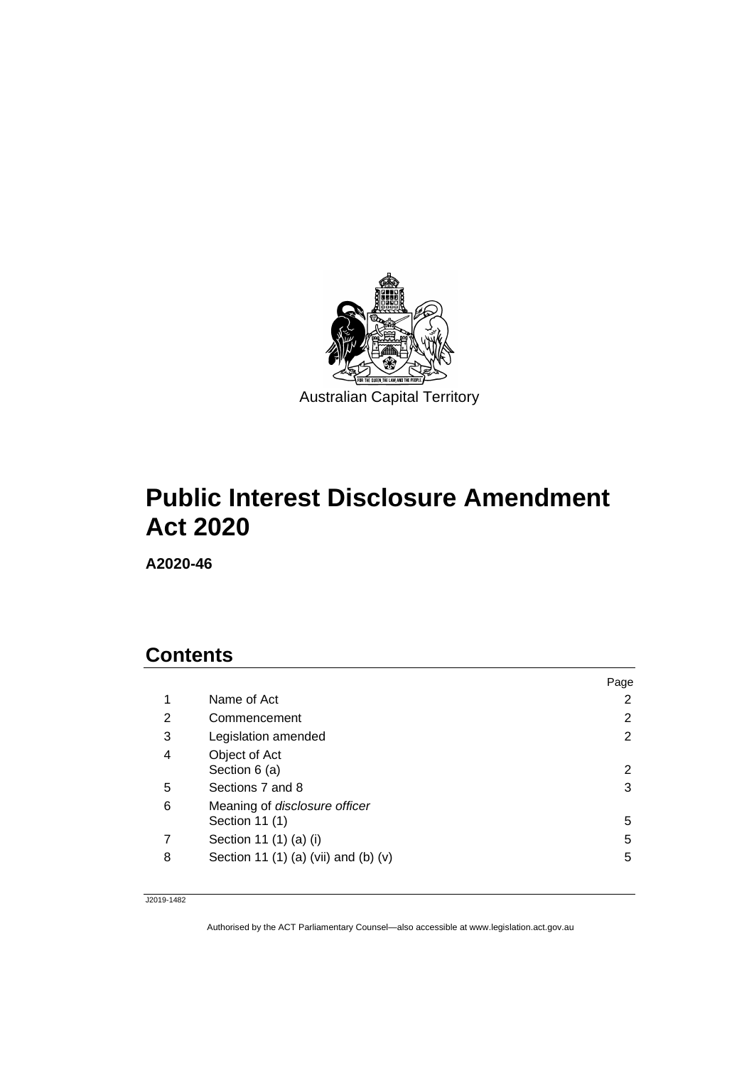

# **Public Interest Disclosure Amendment Act 2020**

**A2020-46**

# **Contents**

|                                                 | Page |
|-------------------------------------------------|------|
| Name of Act                                     | 2    |
| Commencement                                    | 2    |
| Legislation amended                             | 2    |
| Object of Act<br>Section 6 (a)                  | 2    |
| Sections 7 and 8                                | 3    |
| Meaning of disclosure officer<br>Section 11 (1) | 5    |
| Section 11 (1) (a) (i)                          | 5    |
| Section 11 (1) (a) (vii) and (b) (v)            | 5    |
|                                                 |      |

J2019-1482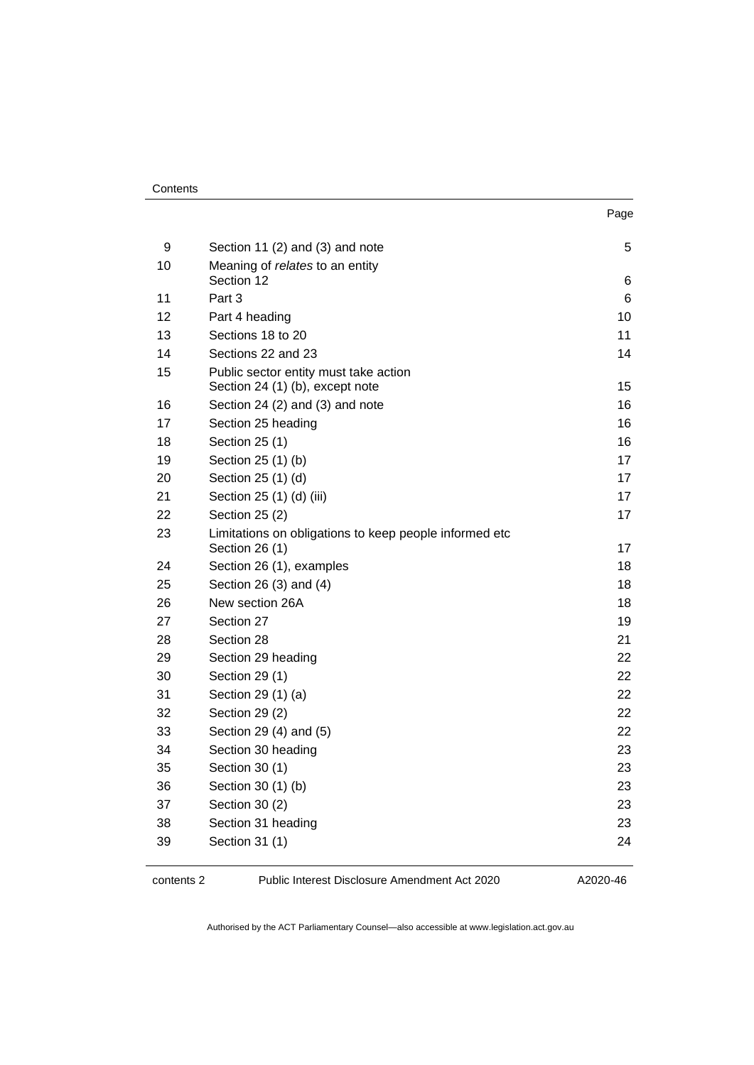| ×<br>. .<br>I<br>۰.<br>× |
|--------------------------|
|--------------------------|

| Section 11 (2) and (3) and note                        | 5                                                                                                                                                                                                                                                                                         |
|--------------------------------------------------------|-------------------------------------------------------------------------------------------------------------------------------------------------------------------------------------------------------------------------------------------------------------------------------------------|
| Meaning of relates to an entity                        |                                                                                                                                                                                                                                                                                           |
|                                                        | 6<br>6                                                                                                                                                                                                                                                                                    |
|                                                        | 10                                                                                                                                                                                                                                                                                        |
|                                                        | 11                                                                                                                                                                                                                                                                                        |
|                                                        | 14                                                                                                                                                                                                                                                                                        |
|                                                        |                                                                                                                                                                                                                                                                                           |
| Section 24 (1) (b), except note                        | 15                                                                                                                                                                                                                                                                                        |
| Section 24 (2) and (3) and note                        | 16                                                                                                                                                                                                                                                                                        |
| Section 25 heading                                     | 16                                                                                                                                                                                                                                                                                        |
| Section 25 (1)                                         | 16                                                                                                                                                                                                                                                                                        |
| Section 25 (1) (b)                                     | 17                                                                                                                                                                                                                                                                                        |
| Section 25 (1) (d)                                     | 17                                                                                                                                                                                                                                                                                        |
| Section 25 (1) (d) (iii)                               | 17                                                                                                                                                                                                                                                                                        |
| Section 25 (2)                                         | 17                                                                                                                                                                                                                                                                                        |
| Limitations on obligations to keep people informed etc | 17                                                                                                                                                                                                                                                                                        |
|                                                        | 18                                                                                                                                                                                                                                                                                        |
|                                                        | 18                                                                                                                                                                                                                                                                                        |
|                                                        | 18                                                                                                                                                                                                                                                                                        |
|                                                        | 19                                                                                                                                                                                                                                                                                        |
|                                                        | 21                                                                                                                                                                                                                                                                                        |
|                                                        | 22                                                                                                                                                                                                                                                                                        |
|                                                        | 22                                                                                                                                                                                                                                                                                        |
| Section 29 (1) (a)                                     | 22                                                                                                                                                                                                                                                                                        |
| Section 29 (2)                                         | 22                                                                                                                                                                                                                                                                                        |
| Section 29 (4) and (5)                                 | 22                                                                                                                                                                                                                                                                                        |
| Section 30 heading                                     | 23                                                                                                                                                                                                                                                                                        |
| Section 30 (1)                                         | 23                                                                                                                                                                                                                                                                                        |
| Section 30 (1) (b)                                     | 23                                                                                                                                                                                                                                                                                        |
| Section 30 (2)                                         | 23                                                                                                                                                                                                                                                                                        |
| Section 31 heading                                     | 23                                                                                                                                                                                                                                                                                        |
| Section 31 (1)                                         | 24                                                                                                                                                                                                                                                                                        |
|                                                        | Section 12<br>Part 3<br>Part 4 heading<br>Sections 18 to 20<br>Sections 22 and 23<br>Public sector entity must take action<br>Section 26 (1)<br>Section 26 (1), examples<br>Section 26 (3) and (4)<br>New section 26A<br>Section 27<br>Section 28<br>Section 29 heading<br>Section 29 (1) |

contents 2 Public Interest Disclosure Amendment Act 2020

A2020-46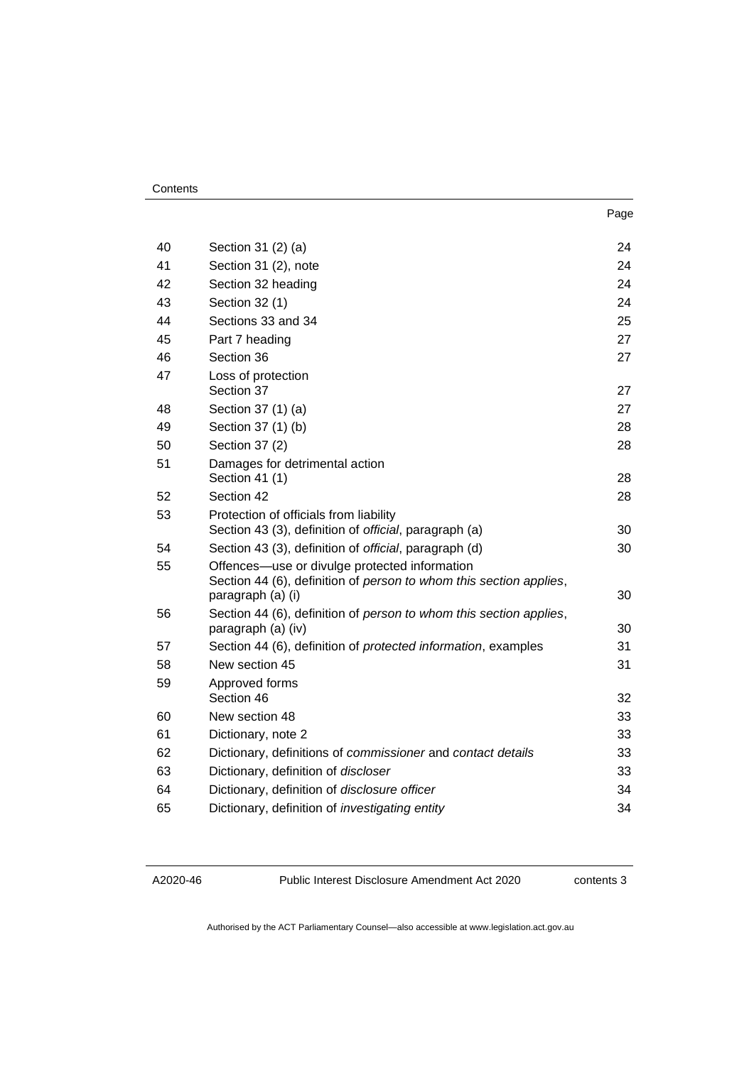#### **Contents**

|    |                                                                                                                                          | Page |
|----|------------------------------------------------------------------------------------------------------------------------------------------|------|
| 40 | Section 31 (2) (a)                                                                                                                       | 24   |
| 41 | Section 31 (2), note                                                                                                                     | 24   |
| 42 | Section 32 heading                                                                                                                       | 24   |
| 43 | Section 32 (1)                                                                                                                           | 24   |
| 44 | Sections 33 and 34                                                                                                                       | 25   |
| 45 | Part 7 heading                                                                                                                           | 27   |
| 46 | Section 36                                                                                                                               | 27   |
| 47 | Loss of protection<br>Section 37                                                                                                         | 27   |
| 48 | Section 37 (1) (a)                                                                                                                       | 27   |
| 49 | Section 37 (1) (b)                                                                                                                       | 28   |
| 50 | Section 37 (2)                                                                                                                           | 28   |
| 51 | Damages for detrimental action<br>Section 41 (1)                                                                                         | 28   |
| 52 | Section 42                                                                                                                               | 28   |
| 53 | Protection of officials from liability<br>Section 43 (3), definition of official, paragraph (a)                                          | 30   |
| 54 | Section 43 (3), definition of official, paragraph (d)                                                                                    | 30   |
| 55 | Offences—use or divulge protected information<br>Section 44 (6), definition of person to whom this section applies,<br>paragraph (a) (i) | 30   |
| 56 | Section 44 (6), definition of person to whom this section applies,<br>paragraph (a) (iv)                                                 | 30   |
| 57 | Section 44 (6), definition of <i>protected information</i> , examples                                                                    | 31   |
| 58 | New section 45                                                                                                                           | 31   |
| 59 | Approved forms<br>Section 46                                                                                                             | 32   |

| 58 | New section 45                                              | 31 |
|----|-------------------------------------------------------------|----|
| 59 | Approved forms<br>Section 46                                | 32 |
| 60 | New section 48                                              | 33 |
| 61 | Dictionary, note 2                                          | 33 |
| 62 | Dictionary, definitions of commissioner and contact details | 33 |
| 63 | Dictionary, definition of <i>discloser</i>                  | 33 |
| 64 | Dictionary, definition of disclosure officer                | 34 |
| 65 | Dictionary, definition of <i>investigating entity</i>       | 34 |

Public Interest Disclosure Amendment Act 2020

contents 3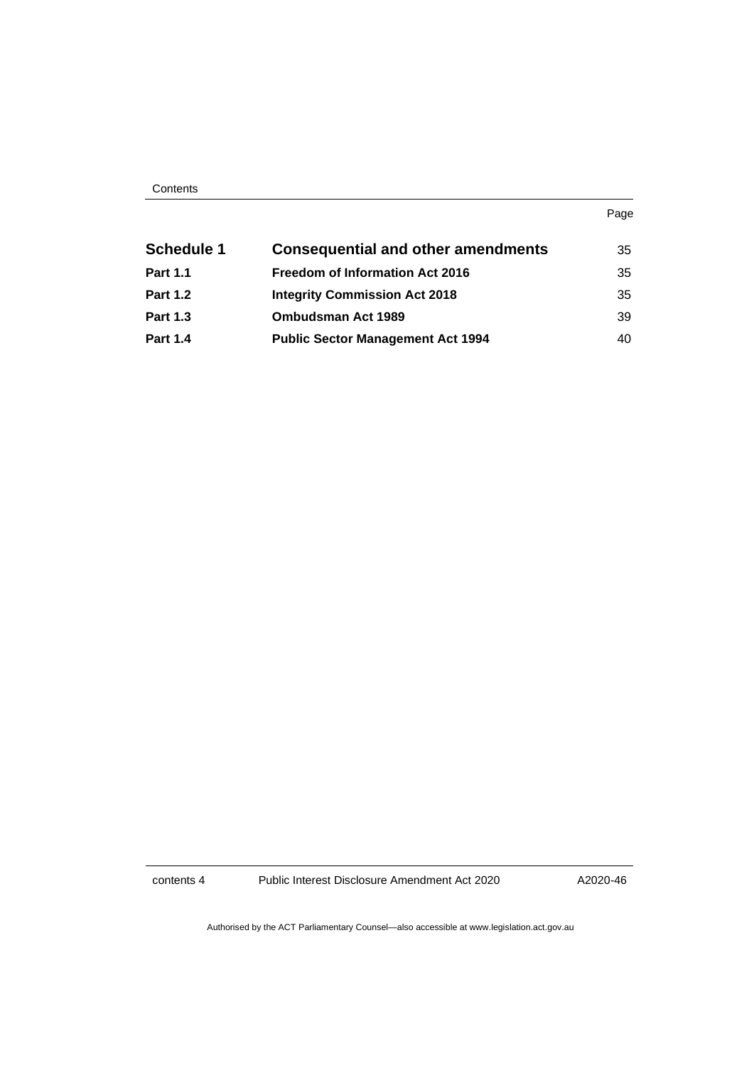| Contents |
|----------|
|----------|

| . .<br>×<br>۰.<br>× |
|---------------------|
|---------------------|

| <b>Schedule 1</b> | <b>Consequential and other amendments</b> | 35 |
|-------------------|-------------------------------------------|----|
| <b>Part 1.1</b>   | <b>Freedom of Information Act 2016</b>    | 35 |
| <b>Part 1.2</b>   | <b>Integrity Commission Act 2018</b>      | 35 |
| <b>Part 1.3</b>   | <b>Ombudsman Act 1989</b>                 | 39 |
| <b>Part 1.4</b>   | <b>Public Sector Management Act 1994</b>  | 40 |

contents 4 Public Interest Disclosure Amendment Act 2020

A2020-46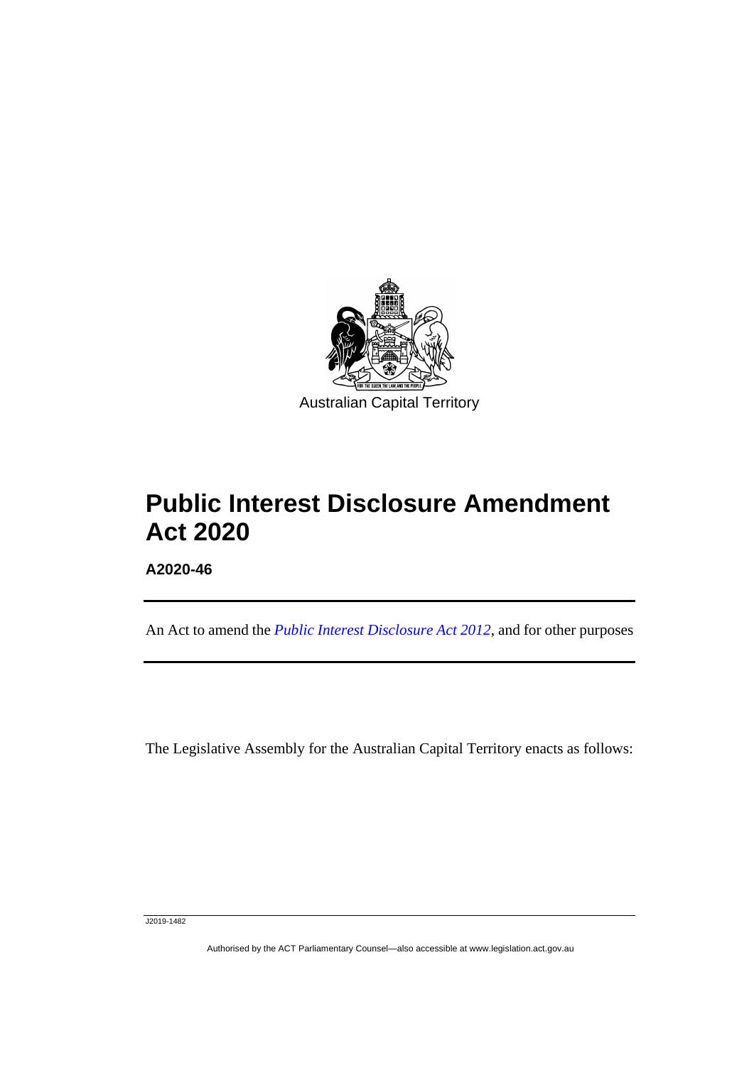

# **Public Interest Disclosure Amendment Act 2020**

**A2020-46**

ֺֺׅ֡֡֡֬֞

An Act to amend the *[Public Interest Disclosure Act 2012](http://www.legislation.act.gov.au/a/2012-43)*, and for other purposes

The Legislative Assembly for the Australian Capital Territory enacts as follows:

J2019-1482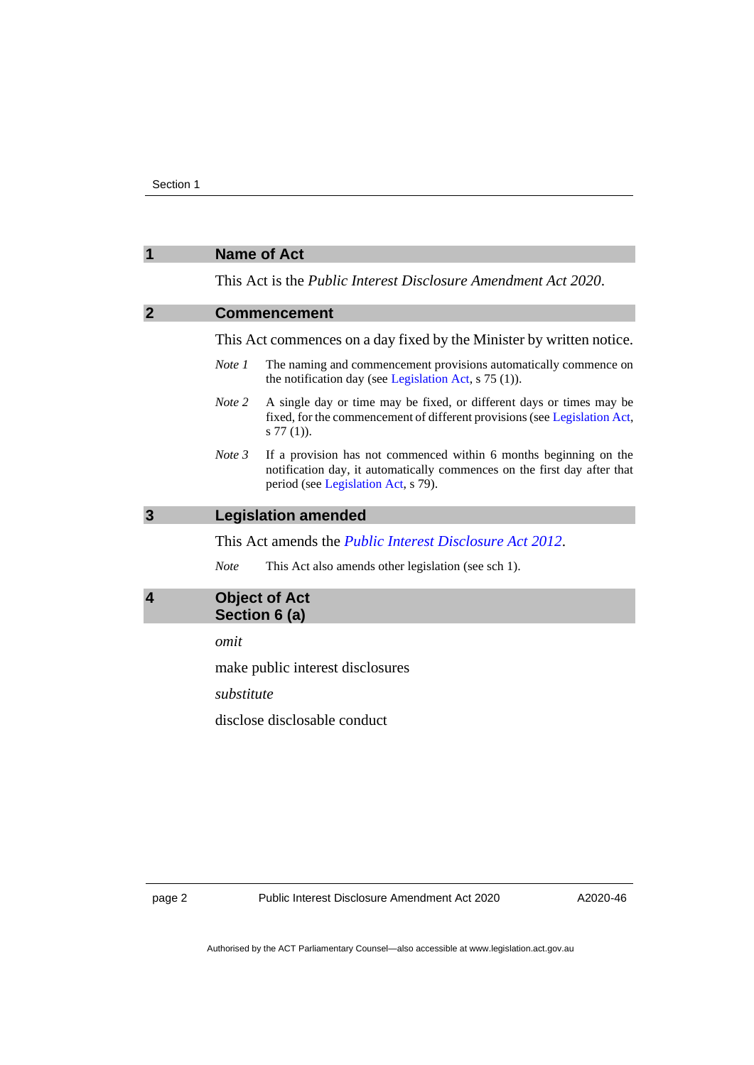# <span id="page-5-2"></span><span id="page-5-1"></span><span id="page-5-0"></span>**1 Name of Act** This Act is the *Public Interest Disclosure Amendment Act 2020*. **2 Commencement** This Act commences on a day fixed by the Minister by written notice. *Note 1* The naming and commencement provisions automatically commence on the notification day (see [Legislation Act,](http://www.legislation.act.gov.au/a/2001-14) s 75 (1)). *Note 2* A single day or time may be fixed, or different days or times may be fixed, for the commencement of different provisions (se[e Legislation Act,](http://www.legislation.act.gov.au/a/2001-14) s 77 (1)). *Note 3* If a provision has not commenced within 6 months beginning on the notification day, it automatically commences on the first day after that period (se[e Legislation Act,](http://www.legislation.act.gov.au/a/2001-14) s 79). **3 Legislation amended** This Act amends the *[Public Interest Disclosure Act 2012](http://www.legislation.act.gov.au/a/2012-43)*. *Note* This Act also amends other legislation (see sch 1). **4 Object of Act Section 6 (a)** *omit* make public interest disclosures *substitute* disclose disclosable conduct

<span id="page-5-3"></span>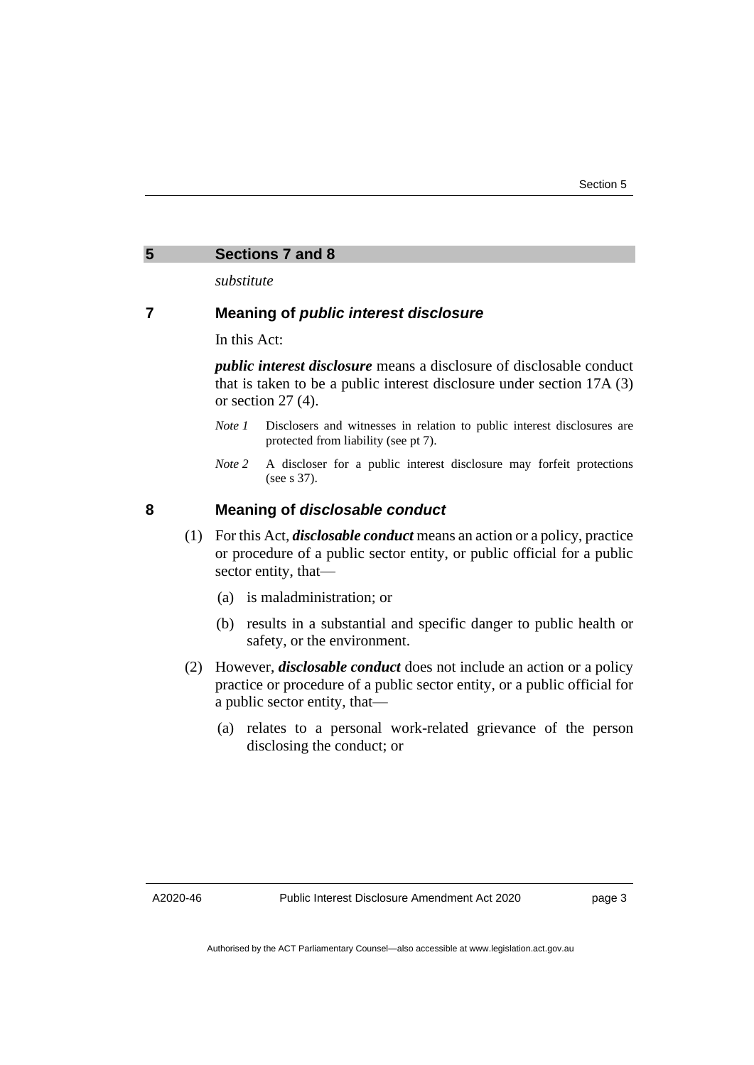<span id="page-6-0"></span>

| Sections 7 and 8 |  |  |  |
|------------------|--|--|--|
|------------------|--|--|--|

*substitute* 

### **7 Meaning of** *public interest disclosure*

In this Act:

*public interest disclosure* means a disclosure of disclosable conduct that is taken to be a public interest disclosure under section 17A (3) or section 27 (4).

- *Note 1* Disclosers and witnesses in relation to public interest disclosures are protected from liability (see pt 7).
- *Note* 2 A discloser for a public interest disclosure may forfeit protections (see s 37).

# **8 Meaning of** *disclosable conduct*

- (1) For this Act, *disclosable conduct* means an action or a policy, practice or procedure of a public sector entity, or public official for a public sector entity, that—
	- (a) is maladministration; or
	- (b) results in a substantial and specific danger to public health or safety, or the environment.
- (2) However, *disclosable conduct* does not include an action or a policy practice or procedure of a public sector entity, or a public official for a public sector entity, that—
	- (a) relates to a personal work-related grievance of the person disclosing the conduct; or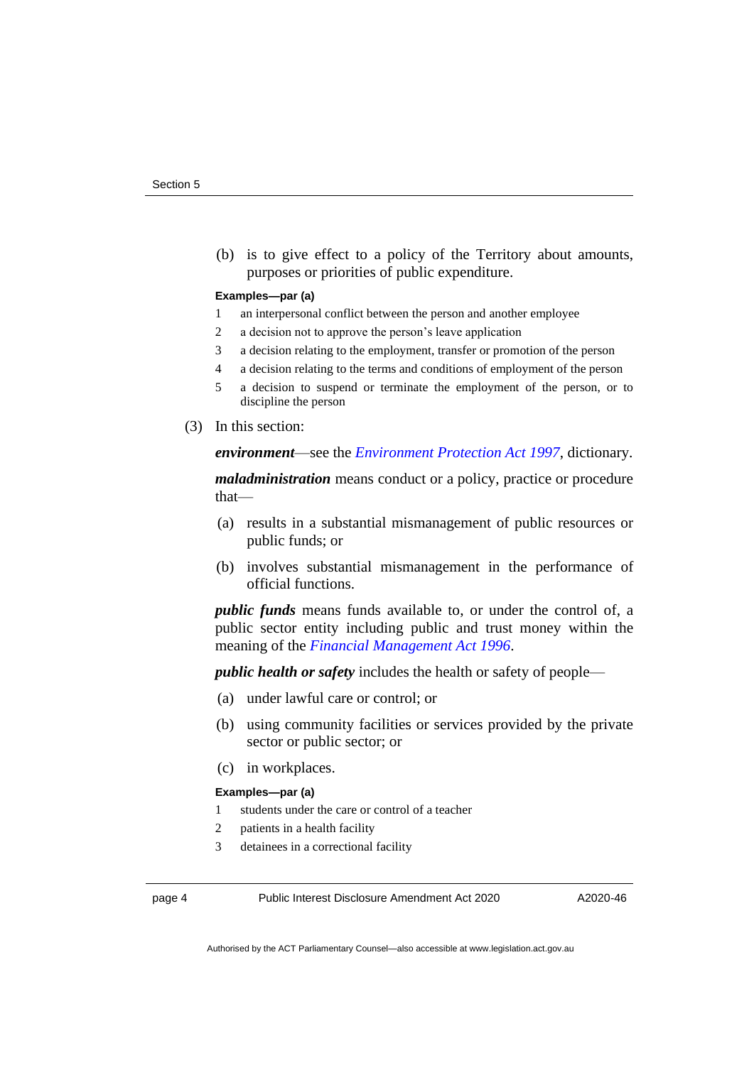(b) is to give effect to a policy of the Territory about amounts, purposes or priorities of public expenditure.

#### **Examples—par (a)**

- 1 an interpersonal conflict between the person and another employee
- 2 a decision not to approve the person's leave application
- 3 a decision relating to the employment, transfer or promotion of the person
- 4 a decision relating to the terms and conditions of employment of the person
- 5 a decision to suspend or terminate the employment of the person, or to discipline the person
- (3) In this section:

*environment*—see the *[Environment Protection Act 1997](http://www.legislation.act.gov.au/a/1997-92)*, dictionary.

*maladministration* means conduct or a policy, practice or procedure that—

- (a) results in a substantial mismanagement of public resources or public funds; or
- (b) involves substantial mismanagement in the performance of official functions.

*public funds* means funds available to, or under the control of, a public sector entity including public and trust money within the meaning of the *[Financial Management Act 1996](http://www.legislation.act.gov.au/a/1996-22)*.

*public health or safety* includes the health or safety of people—

- (a) under lawful care or control; or
- (b) using community facilities or services provided by the private sector or public sector; or
- (c) in workplaces.

#### **Examples—par (a)**

- 1 students under the care or control of a teacher
- 2 patients in a health facility
- 3 detainees in a correctional facility

page 4 Public Interest Disclosure Amendment Act 2020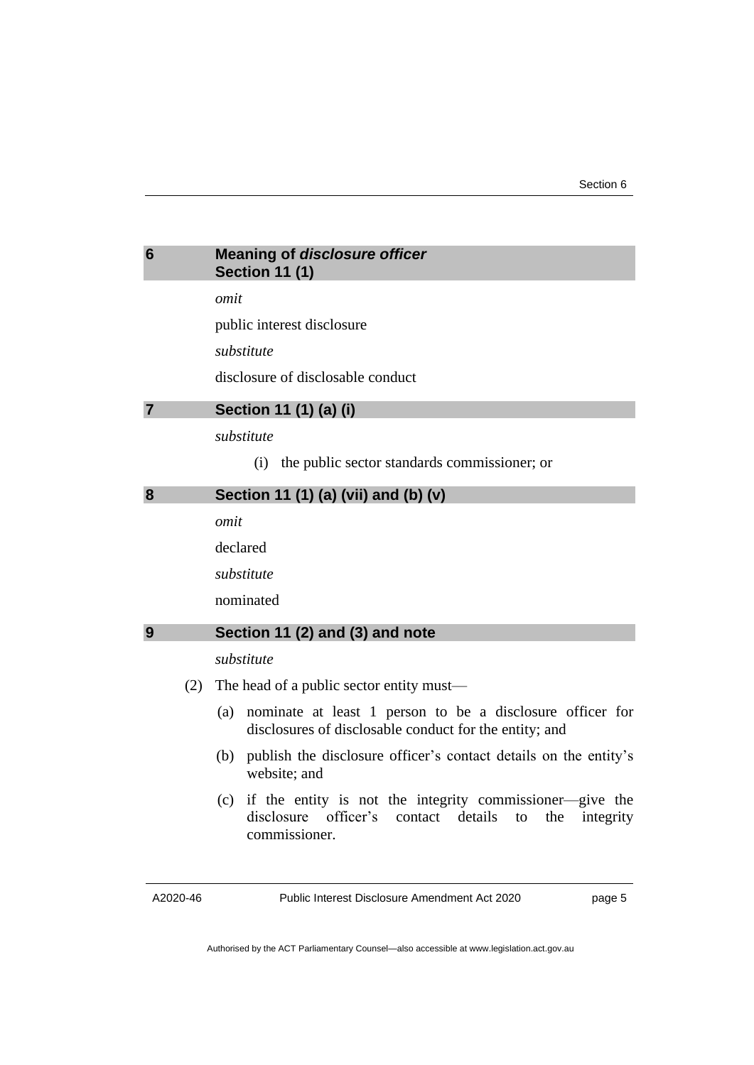<span id="page-8-0"></span>

| 6 | <b>Meaning of disclosure officer</b> |
|---|--------------------------------------|
|   | <b>Section 11 (1)</b>                |

*omit*

public interest disclosure

*substitute*

disclosure of disclosable conduct

<span id="page-8-1"></span>

*substitute*

(i) the public sector standards commissioner; or

<span id="page-8-2"></span>

| 8 | Section 11 (1) (a) (vii) and (b) (v) |
|---|--------------------------------------|
|   |                                      |

*omit*

declared

*substitute*

nominated

#### <span id="page-8-3"></span>**9 Section 11 (2) and (3) and note**

*substitute*

- (2) The head of a public sector entity must—
	- (a) nominate at least 1 person to be a disclosure officer for disclosures of disclosable conduct for the entity; and
	- (b) publish the disclosure officer's contact details on the entity's website; and
	- (c) if the entity is not the integrity commissioner—give the disclosure officer's contact details to the integrity commissioner.

A2020-46

Public Interest Disclosure Amendment Act 2020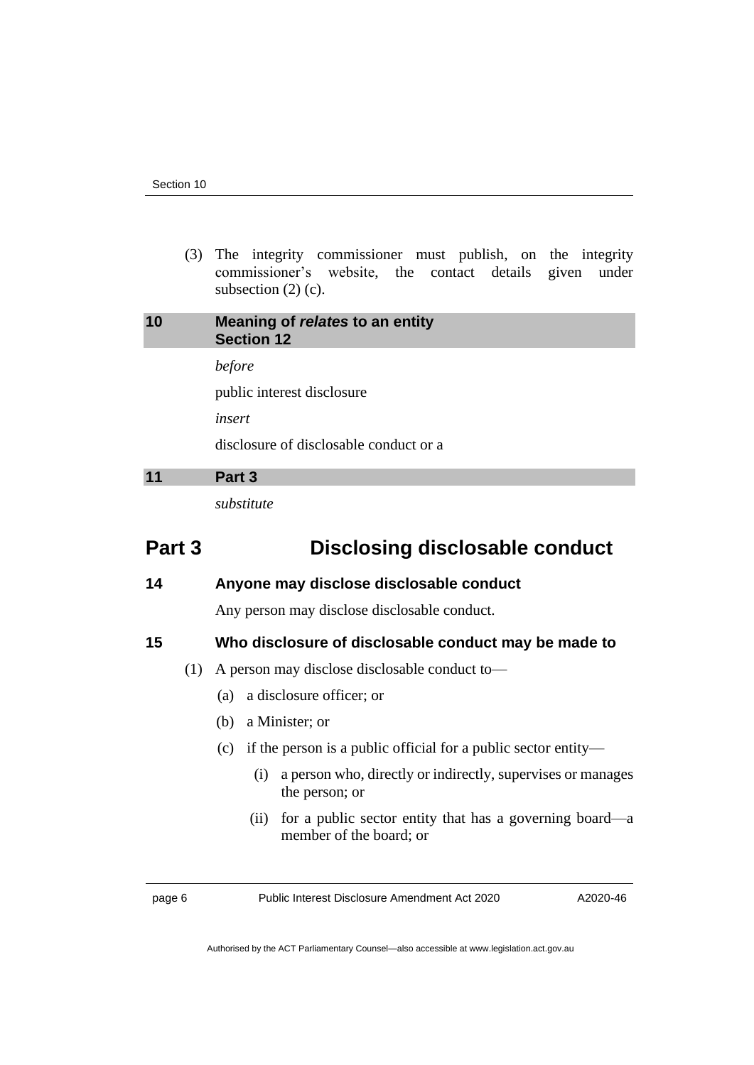(3) The integrity commissioner must publish, on the integrity commissioner's website, the contact details given under subsection  $(2)$  (c).

# <span id="page-9-0"></span>**10 Meaning of** *relates* **to an entity Section 12**

*before*

public interest disclosure

*insert*

disclosure of disclosable conduct or a

# <span id="page-9-1"></span>**11 Part 3**

*substitute*

# **Part 3 Disclosing disclosable conduct**

### **14 Anyone may disclose disclosable conduct**

Any person may disclose disclosable conduct.

### **15 Who disclosure of disclosable conduct may be made to**

- (1) A person may disclose disclosable conduct to—
	- (a) a disclosure officer; or
	- (b) a Minister; or
	- (c) if the person is a public official for a public sector entity—
		- (i) a person who, directly or indirectly, supervises or manages the person; or
		- (ii) for a public sector entity that has a governing board—a member of the board; or

page 6 Public Interest Disclosure Amendment Act 2020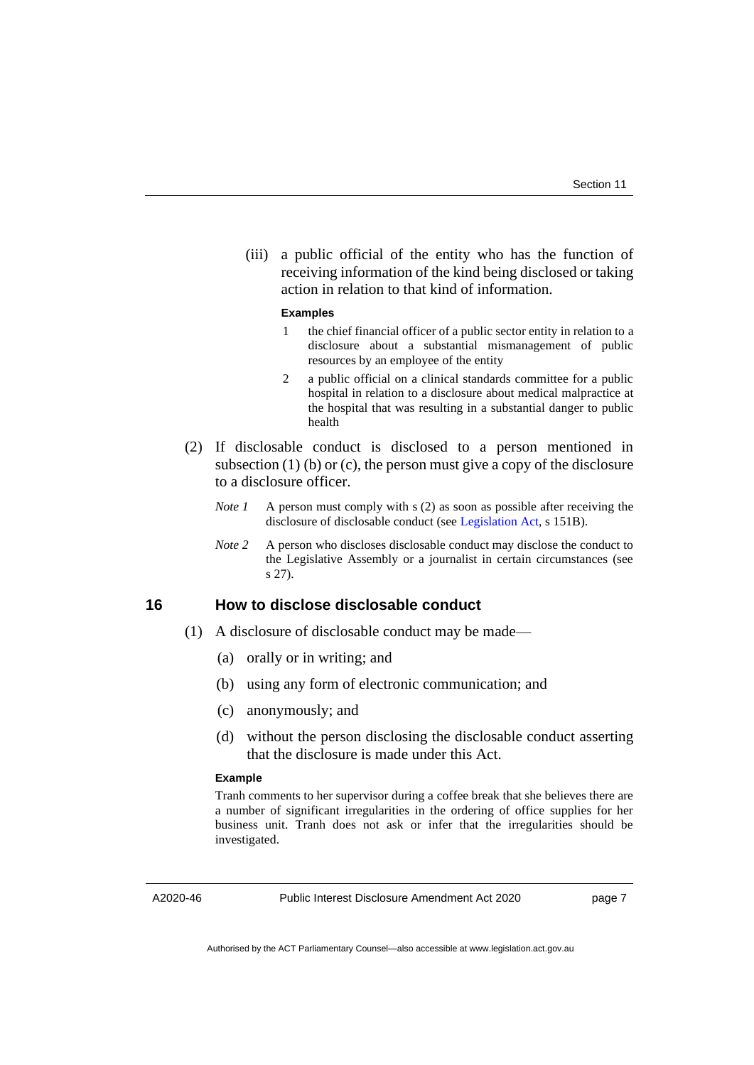(iii) a public official of the entity who has the function of receiving information of the kind being disclosed or taking action in relation to that kind of information.

#### **Examples**

- 1 the chief financial officer of a public sector entity in relation to a disclosure about a substantial mismanagement of public resources by an employee of the entity
- 2 a public official on a clinical standards committee for a public hospital in relation to a disclosure about medical malpractice at the hospital that was resulting in a substantial danger to public health
- (2) If disclosable conduct is disclosed to a person mentioned in subsection (1) (b) or (c), the person must give a copy of the disclosure to a disclosure officer.
	- *Note 1* A person must comply with s (2) as soon as possible after receiving the disclosure of disclosable conduct (see [Legislation Act,](http://www.legislation.act.gov.au/a/2001-14) s 151B).
	- *Note 2* A person who discloses disclosable conduct may disclose the conduct to the Legislative Assembly or a journalist in certain circumstances (see s 27).

# **16 How to disclose disclosable conduct**

- (1) A disclosure of disclosable conduct may be made—
	- (a) orally or in writing; and
	- (b) using any form of electronic communication; and
	- (c) anonymously; and
	- (d) without the person disclosing the disclosable conduct asserting that the disclosure is made under this Act.

#### **Example**

Tranh comments to her supervisor during a coffee break that she believes there are a number of significant irregularities in the ordering of office supplies for her business unit. Tranh does not ask or infer that the irregularities should be investigated.

A2020-46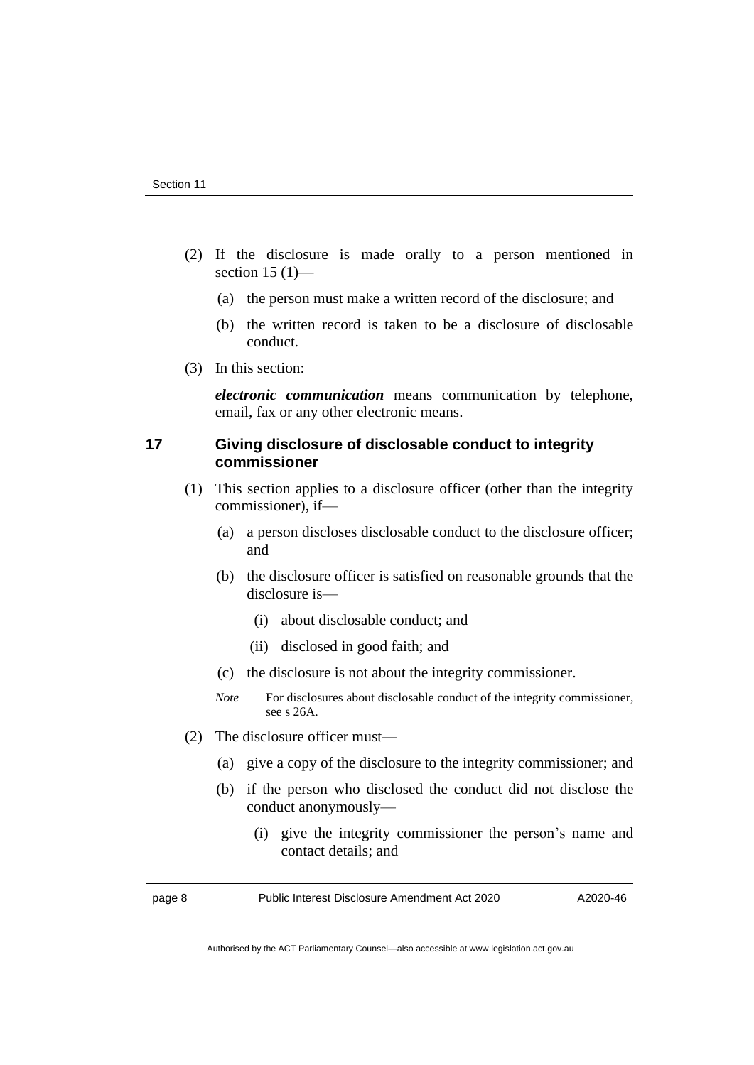- (2) If the disclosure is made orally to a person mentioned in section  $15(1)$ —
	- (a) the person must make a written record of the disclosure; and
	- (b) the written record is taken to be a disclosure of disclosable conduct.
- (3) In this section:

*electronic communication* means communication by telephone, email, fax or any other electronic means.

#### **17 Giving disclosure of disclosable conduct to integrity commissioner**

- (1) This section applies to a disclosure officer (other than the integrity commissioner), if—
	- (a) a person discloses disclosable conduct to the disclosure officer; and
	- (b) the disclosure officer is satisfied on reasonable grounds that the disclosure is—
		- (i) about disclosable conduct; and
		- (ii) disclosed in good faith; and
	- (c) the disclosure is not about the integrity commissioner.
	- *Note* For disclosures about disclosable conduct of the integrity commissioner, see s 26A.
- (2) The disclosure officer must—
	- (a) give a copy of the disclosure to the integrity commissioner; and
	- (b) if the person who disclosed the conduct did not disclose the conduct anonymously—
		- (i) give the integrity commissioner the person's name and contact details; and

page 8 Public Interest Disclosure Amendment Act 2020

A2020-46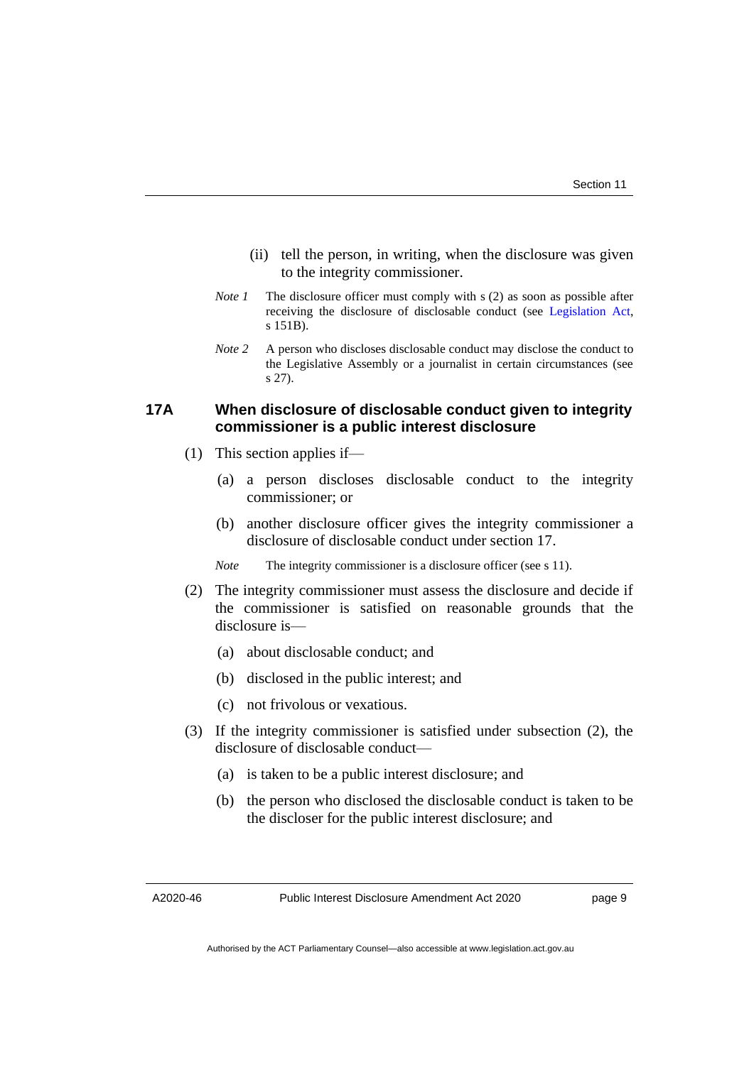- (ii) tell the person, in writing, when the disclosure was given to the integrity commissioner.
- *Note 1* The disclosure officer must comply with s (2) as soon as possible after receiving the disclosure of disclosable conduct (see [Legislation Act,](http://www.legislation.act.gov.au/a/2001-14) s 151B).
- *Note* 2 A person who discloses disclosable conduct may disclose the conduct to the Legislative Assembly or a journalist in certain circumstances (see s 27).

# **17A When disclosure of disclosable conduct given to integrity commissioner is a public interest disclosure**

- (1) This section applies if—
	- (a) a person discloses disclosable conduct to the integrity commissioner; or
	- (b) another disclosure officer gives the integrity commissioner a disclosure of disclosable conduct under section 17.
	- *Note* The integrity commissioner is a disclosure officer (see s 11).
- (2) The integrity commissioner must assess the disclosure and decide if the commissioner is satisfied on reasonable grounds that the disclosure is—
	- (a) about disclosable conduct; and
	- (b) disclosed in the public interest; and
	- (c) not frivolous or vexatious.
- (3) If the integrity commissioner is satisfied under subsection (2), the disclosure of disclosable conduct—
	- (a) is taken to be a public interest disclosure; and
	- (b) the person who disclosed the disclosable conduct is taken to be the discloser for the public interest disclosure; and

A2020-46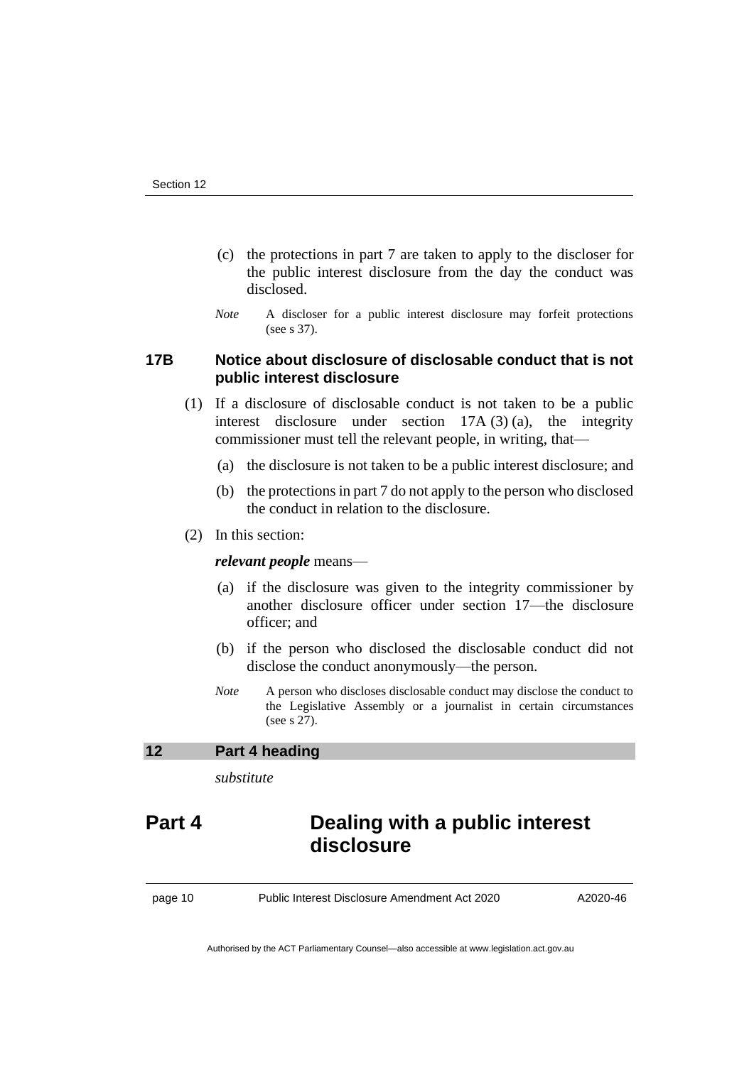- (c) the protections in part 7 are taken to apply to the discloser for the public interest disclosure from the day the conduct was disclosed.
- *Note* A discloser for a public interest disclosure may forfeit protections (see s 37).

# **17B Notice about disclosure of disclosable conduct that is not public interest disclosure**

- (1) If a disclosure of disclosable conduct is not taken to be a public interest disclosure under section 17A (3) (a), the integrity commissioner must tell the relevant people, in writing, that—
	- (a) the disclosure is not taken to be a public interest disclosure; and
	- (b) the protections in part 7 do not apply to the person who disclosed the conduct in relation to the disclosure.
- (2) In this section:

#### *relevant people* means—

- (a) if the disclosure was given to the integrity commissioner by another disclosure officer under section 17—the disclosure officer; and
- (b) if the person who disclosed the disclosable conduct did not disclose the conduct anonymously—the person.
- *Note* A person who discloses disclosable conduct may disclose the conduct to the Legislative Assembly or a journalist in certain circumstances (see s 27).

### <span id="page-13-0"></span>**12 Part 4 heading**

*substitute*

# **Part 4 Dealing with a public interest disclosure**

page 10 Public Interest Disclosure Amendment Act 2020

A2020-46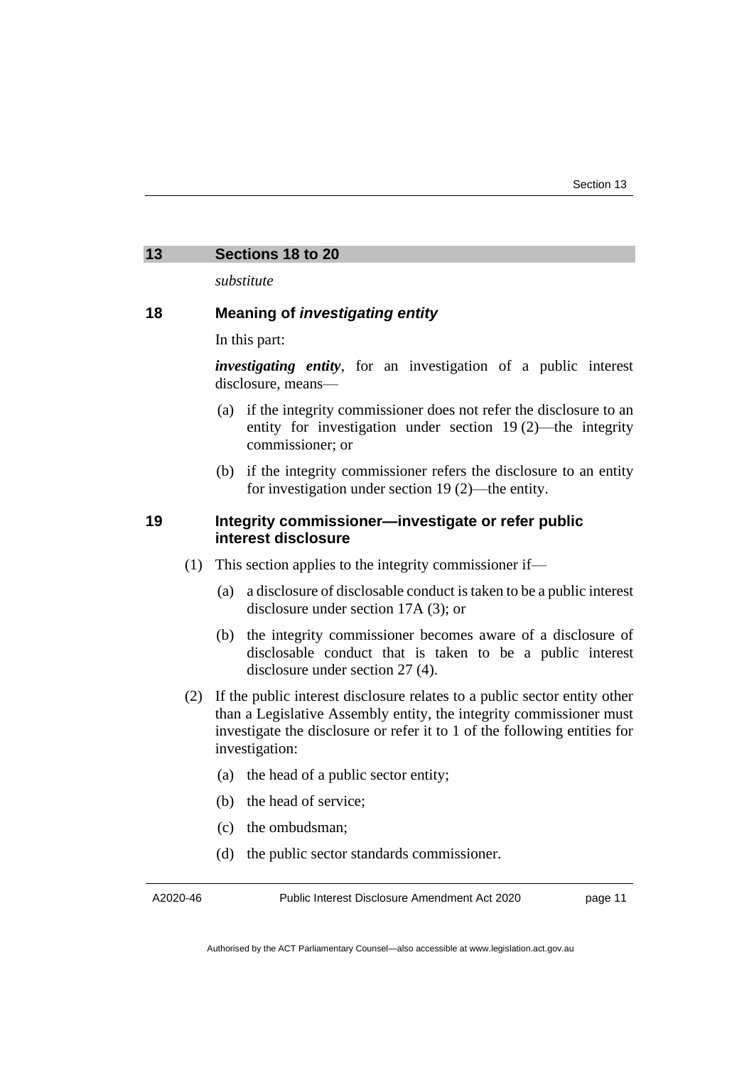# <span id="page-14-0"></span>**13 Sections 18 to 20**

*substitute*

### **18 Meaning of** *investigating entity*

In this part:

*investigating entity*, for an investigation of a public interest disclosure, means—

- (a) if the integrity commissioner does not refer the disclosure to an entity for investigation under section 19 (2)—the integrity commissioner; or
- (b) if the integrity commissioner refers the disclosure to an entity for investigation under section 19 (2)—the entity.

### **19 Integrity commissioner—investigate or refer public interest disclosure**

- (1) This section applies to the integrity commissioner if—
	- (a) a disclosure of disclosable conduct is taken to be a public interest disclosure under section 17A (3); or
	- (b) the integrity commissioner becomes aware of a disclosure of disclosable conduct that is taken to be a public interest disclosure under section 27 (4).
- (2) If the public interest disclosure relates to a public sector entity other than a Legislative Assembly entity, the integrity commissioner must investigate the disclosure or refer it to 1 of the following entities for investigation:
	- (a) the head of a public sector entity;
	- (b) the head of service;
	- (c) the ombudsman;
	- (d) the public sector standards commissioner.

A2020-46

Public Interest Disclosure Amendment Act 2020

page 11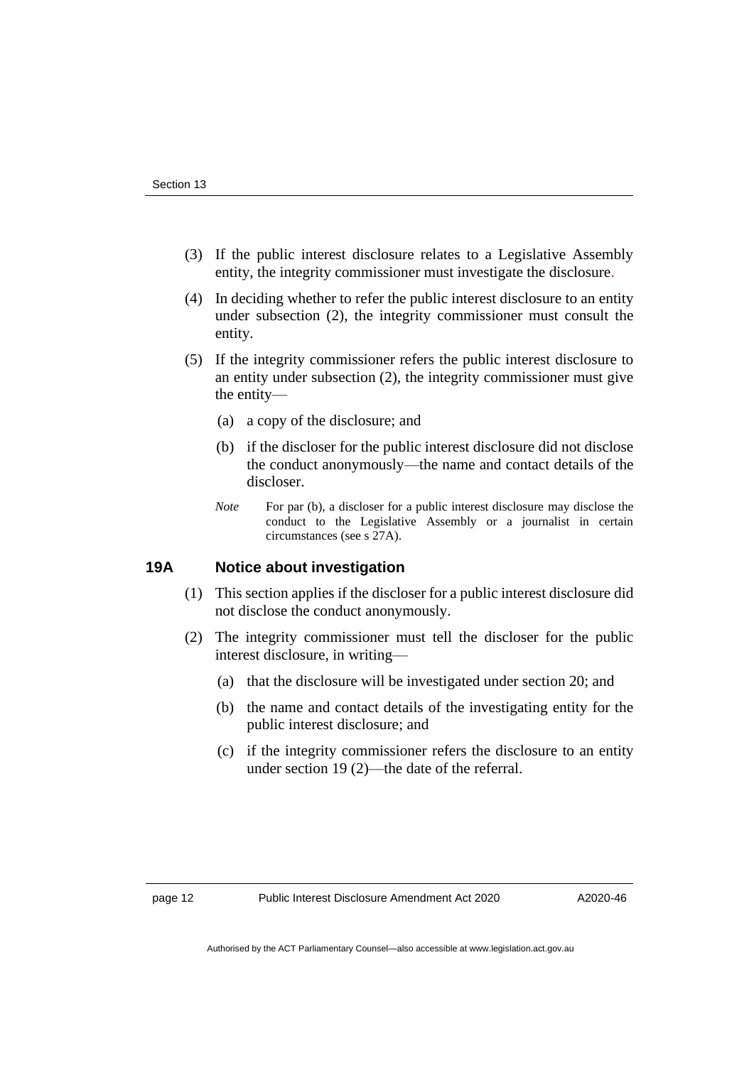- (3) If the public interest disclosure relates to a Legislative Assembly entity, the integrity commissioner must investigate the disclosure.
- (4) In deciding whether to refer the public interest disclosure to an entity under subsection (2), the integrity commissioner must consult the entity.
- (5) If the integrity commissioner refers the public interest disclosure to an entity under subsection (2), the integrity commissioner must give the entity—
	- (a) a copy of the disclosure; and
	- (b) if the discloser for the public interest disclosure did not disclose the conduct anonymously—the name and contact details of the discloser.
	- *Note* For par (b), a discloser for a public interest disclosure may disclose the conduct to the Legislative Assembly or a journalist in certain circumstances (see s 27A).

#### **19A Notice about investigation**

- (1) This section applies if the discloser for a public interest disclosure did not disclose the conduct anonymously.
- (2) The integrity commissioner must tell the discloser for the public interest disclosure, in writing—
	- (a) that the disclosure will be investigated under section 20; and
	- (b) the name and contact details of the investigating entity for the public interest disclosure; and
	- (c) if the integrity commissioner refers the disclosure to an entity under section 19 (2)—the date of the referral.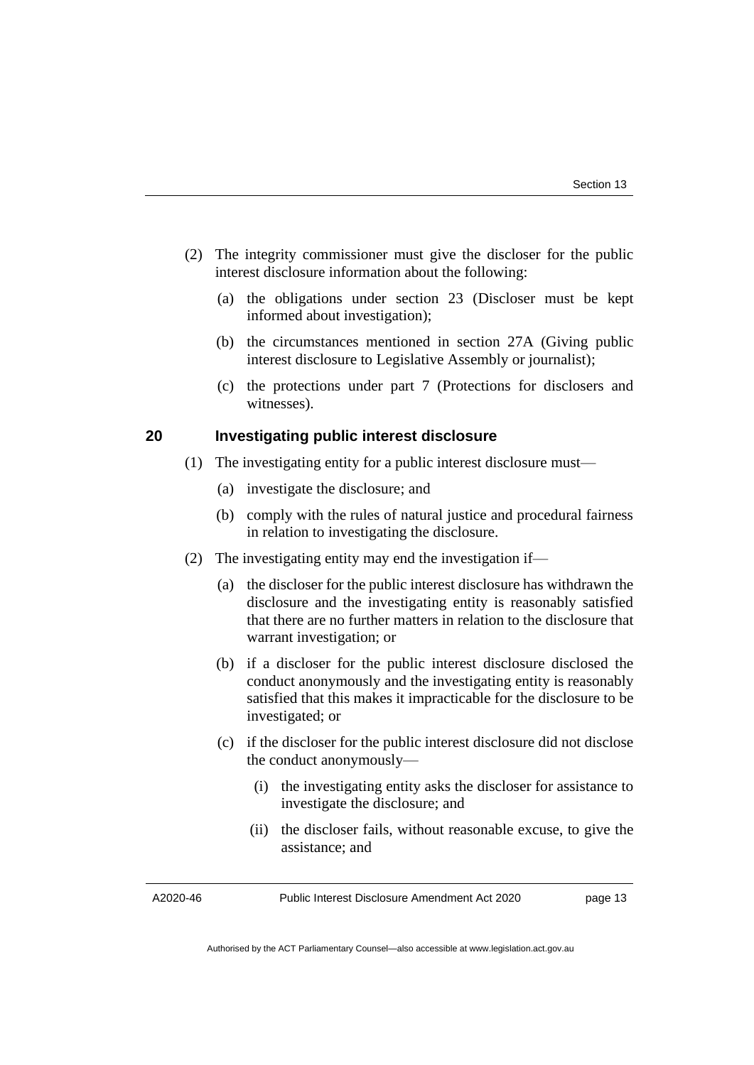- (2) The integrity commissioner must give the discloser for the public interest disclosure information about the following:
	- (a) the obligations under section 23 (Discloser must be kept informed about investigation);
	- (b) the circumstances mentioned in section 27A (Giving public interest disclosure to Legislative Assembly or journalist);
	- (c) the protections under part 7 (Protections for disclosers and witnesses).

#### **20 Investigating public interest disclosure**

- (1) The investigating entity for a public interest disclosure must—
	- (a) investigate the disclosure; and
	- (b) comply with the rules of natural justice and procedural fairness in relation to investigating the disclosure.
- (2) The investigating entity may end the investigation if—
	- (a) the discloser for the public interest disclosure has withdrawn the disclosure and the investigating entity is reasonably satisfied that there are no further matters in relation to the disclosure that warrant investigation; or
	- (b) if a discloser for the public interest disclosure disclosed the conduct anonymously and the investigating entity is reasonably satisfied that this makes it impracticable for the disclosure to be investigated; or
	- (c) if the discloser for the public interest disclosure did not disclose the conduct anonymously—
		- (i) the investigating entity asks the discloser for assistance to investigate the disclosure; and
		- (ii) the discloser fails, without reasonable excuse, to give the assistance; and

A2020-46

Public Interest Disclosure Amendment Act 2020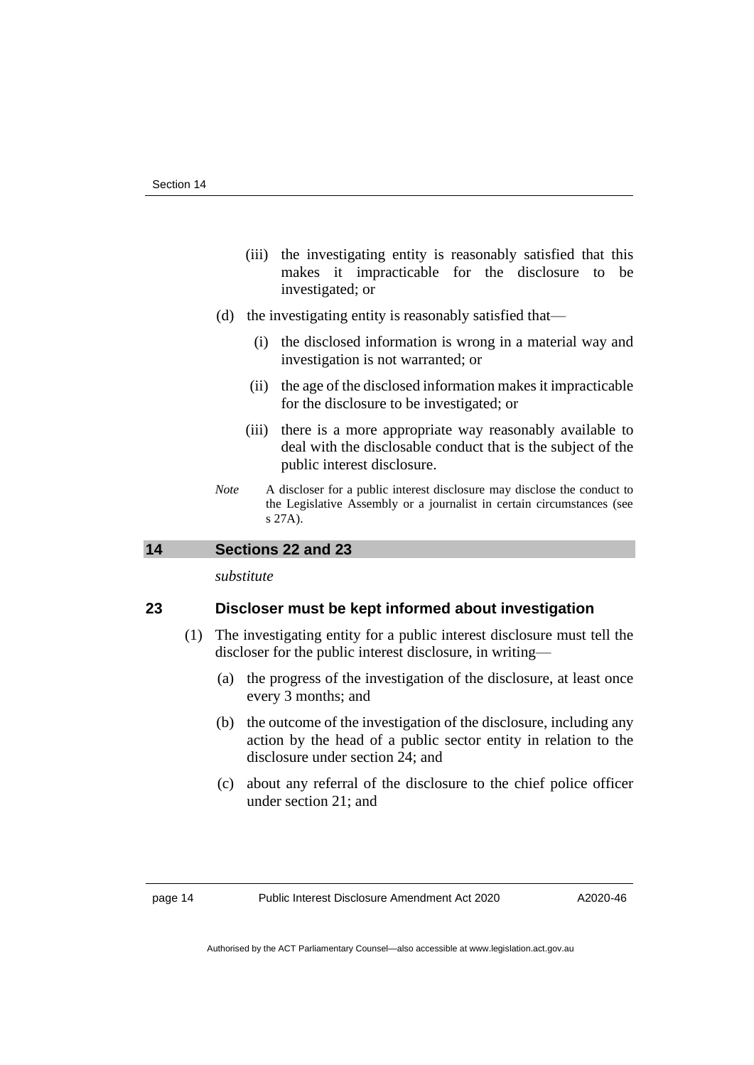- (iii) the investigating entity is reasonably satisfied that this makes it impracticable for the disclosure to be investigated; or
- (d) the investigating entity is reasonably satisfied that—
	- (i) the disclosed information is wrong in a material way and investigation is not warranted; or
	- (ii) the age of the disclosed information makes it impracticable for the disclosure to be investigated; or
	- (iii) there is a more appropriate way reasonably available to deal with the disclosable conduct that is the subject of the public interest disclosure.
- *Note* A discloser for a public interest disclosure may disclose the conduct to the Legislative Assembly or a journalist in certain circumstances (see s 27A).

# <span id="page-17-0"></span>**14 Sections 22 and 23**

*substitute*

#### **23 Discloser must be kept informed about investigation**

- (1) The investigating entity for a public interest disclosure must tell the discloser for the public interest disclosure, in writing—
	- (a) the progress of the investigation of the disclosure, at least once every 3 months; and
	- (b) the outcome of the investigation of the disclosure, including any action by the head of a public sector entity in relation to the disclosure under section 24; and
	- (c) about any referral of the disclosure to the chief police officer under section 21; and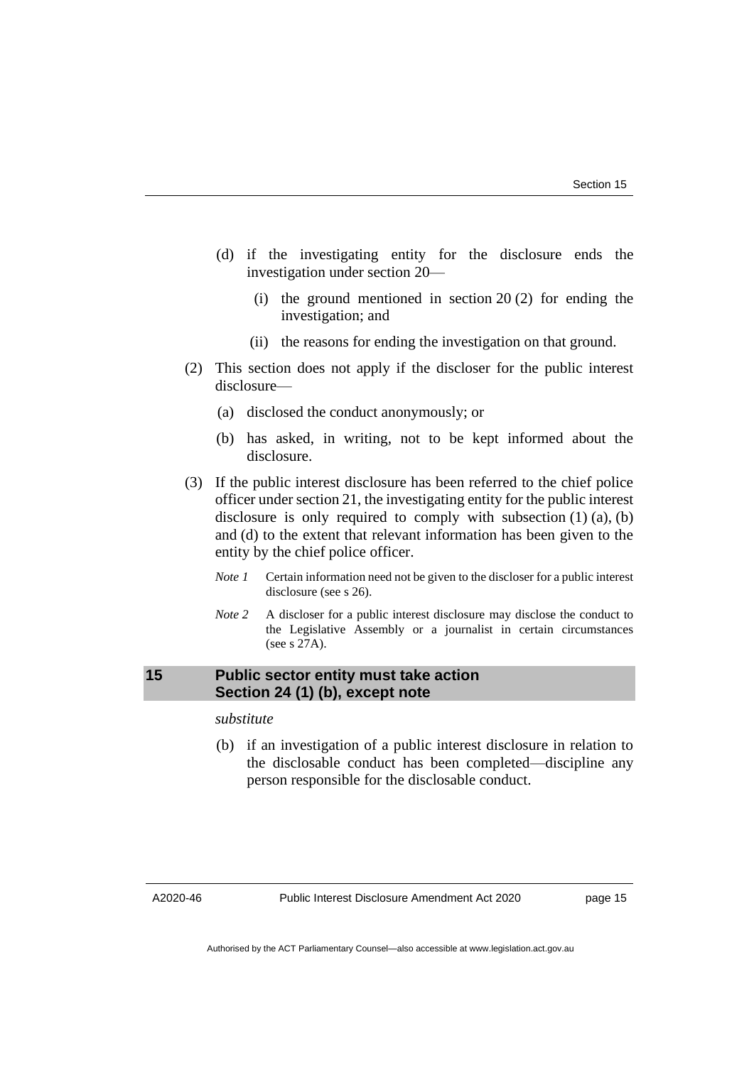- (d) if the investigating entity for the disclosure ends the investigation under section 20—
	- (i) the ground mentioned in section 20 (2) for ending the investigation; and
	- (ii) the reasons for ending the investigation on that ground.
- (2) This section does not apply if the discloser for the public interest disclosure—
	- (a) disclosed the conduct anonymously; or
	- (b) has asked, in writing, not to be kept informed about the disclosure.
- (3) If the public interest disclosure has been referred to the chief police officer under section 21, the investigating entity for the public interest disclosure is only required to comply with subsection  $(1)$   $(a)$ ,  $(b)$ and (d) to the extent that relevant information has been given to the entity by the chief police officer.
	- *Note 1* Certain information need not be given to the discloser for a public interest disclosure (see s 26).
	- *Note 2* A discloser for a public interest disclosure may disclose the conduct to the Legislative Assembly or a journalist in certain circumstances (see s 27A).

# <span id="page-18-0"></span>**15 Public sector entity must take action Section 24 (1) (b), except note**

### *substitute*

(b) if an investigation of a public interest disclosure in relation to the disclosable conduct has been completed—discipline any person responsible for the disclosable conduct.

A2020-46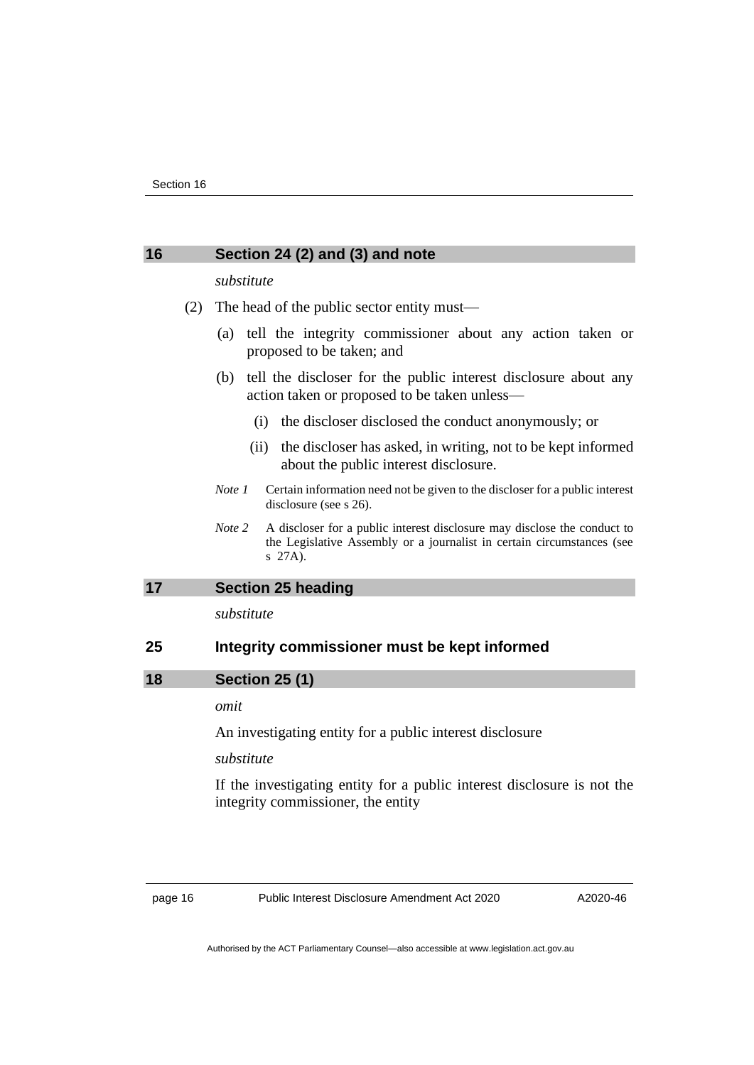# <span id="page-19-0"></span>**16 Section 24 (2) and (3) and note**

#### *substitute*

- (2) The head of the public sector entity must—
	- (a) tell the integrity commissioner about any action taken or proposed to be taken; and
	- (b) tell the discloser for the public interest disclosure about any action taken or proposed to be taken unless—
		- (i) the discloser disclosed the conduct anonymously; or
		- (ii) the discloser has asked, in writing, not to be kept informed about the public interest disclosure.
	- *Note 1* Certain information need not be given to the discloser for a public interest disclosure (see s 26).
	- *Note* 2 A discloser for a public interest disclosure may disclose the conduct to the Legislative Assembly or a journalist in certain circumstances (see s 27A).

#### <span id="page-19-1"></span>**17 Section 25 heading**

*substitute*

### <span id="page-19-2"></span>**25 Integrity commissioner must be kept informed**

**18 Section 25 (1)**

#### *omit*

An investigating entity for a public interest disclosure

#### *substitute*

If the investigating entity for a public interest disclosure is not the integrity commissioner, the entity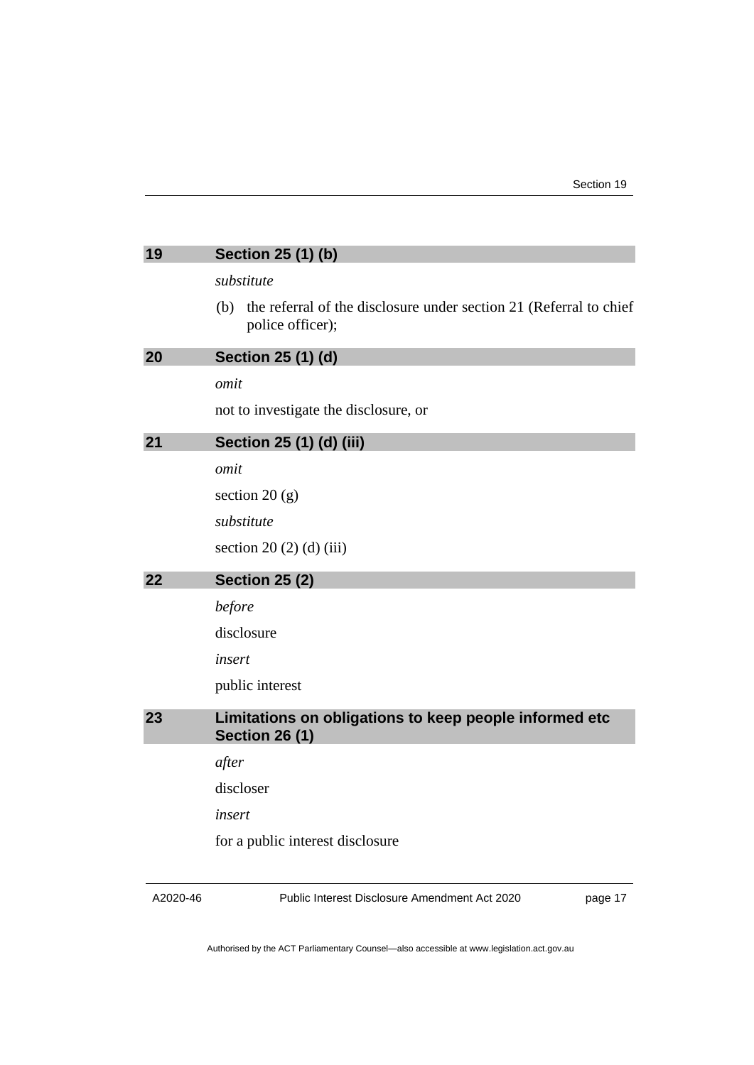<span id="page-20-3"></span><span id="page-20-2"></span><span id="page-20-1"></span><span id="page-20-0"></span>

| 19 | Section 25 (1) (b)                                                                            |
|----|-----------------------------------------------------------------------------------------------|
|    | substitute                                                                                    |
|    | the referral of the disclosure under section 21 (Referral to chief<br>(b)<br>police officer); |
| 20 | Section 25 (1) (d)                                                                            |
|    | omit                                                                                          |
|    | not to investigate the disclosure, or                                                         |
| 21 | Section 25 (1) (d) (iii)                                                                      |
|    | omit                                                                                          |
|    | section $20(g)$                                                                               |
|    | substitute                                                                                    |
|    | section 20 $(2)$ $(d)$ $(iii)$                                                                |
| 22 | <b>Section 25 (2)</b>                                                                         |
|    | before                                                                                        |
|    | disclosure                                                                                    |
|    | insert                                                                                        |
|    | public interest                                                                               |
| 23 | Limitations on obligations to keep people informed etc<br><b>Section 26 (1)</b>               |
|    | after                                                                                         |
|    | discloser                                                                                     |
|    | insert                                                                                        |
|    | for a public interest disclosure                                                              |
|    |                                                                                               |

<span id="page-20-4"></span>A2020-46

Public Interest Disclosure Amendment Act 2020

page 17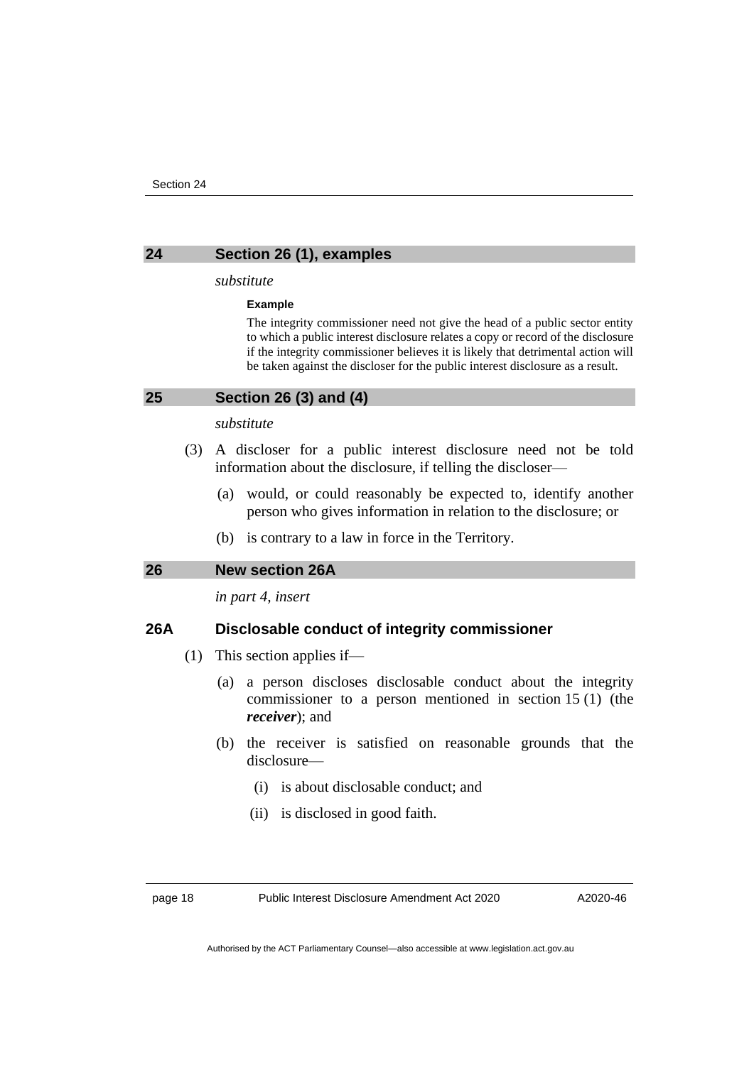<span id="page-21-0"></span>

#### **24 Section 26 (1), examples**

#### *substitute*

#### **Example**

The integrity commissioner need not give the head of a public sector entity to which a public interest disclosure relates a copy or record of the disclosure if the integrity commissioner believes it is likely that detrimental action will be taken against the discloser for the public interest disclosure as a result.

<span id="page-21-1"></span>

| 25 | Section 26 (3) and (4) |  |  |  |
|----|------------------------|--|--|--|
|    |                        |  |  |  |

#### *substitute*

- (3) A discloser for a public interest disclosure need not be told information about the disclosure, if telling the discloser—
	- (a) would, or could reasonably be expected to, identify another person who gives information in relation to the disclosure; or
	- (b) is contrary to a law in force in the Territory.

#### <span id="page-21-2"></span>**26 New section 26A**

*in part 4, insert*

#### **26A Disclosable conduct of integrity commissioner**

- (1) This section applies if—
	- (a) a person discloses disclosable conduct about the integrity commissioner to a person mentioned in section 15 (1) (the *receiver*); and
	- (b) the receiver is satisfied on reasonable grounds that the disclosure—
		- (i) is about disclosable conduct; and
		- (ii) is disclosed in good faith.

page 18 Public Interest Disclosure Amendment Act 2020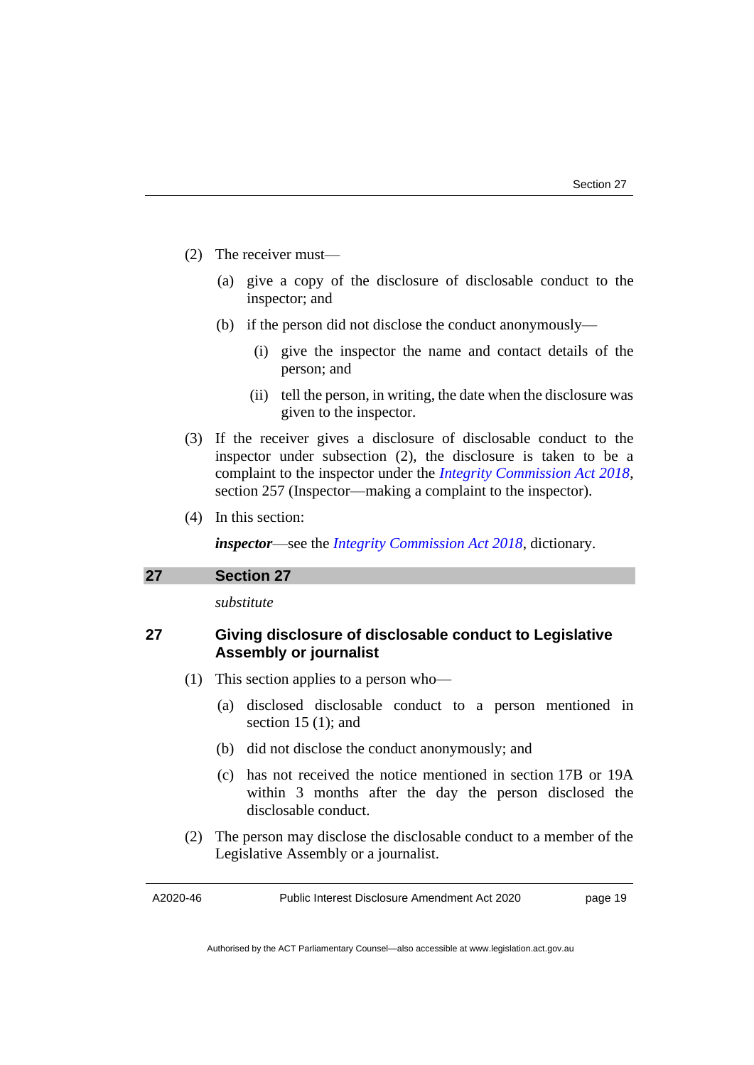- (2) The receiver must—
	- (a) give a copy of the disclosure of disclosable conduct to the inspector; and
	- (b) if the person did not disclose the conduct anonymously—
		- (i) give the inspector the name and contact details of the person; and
		- (ii) tell the person, in writing, the date when the disclosure was given to the inspector.
- (3) If the receiver gives a disclosure of disclosable conduct to the inspector under subsection (2), the disclosure is taken to be a complaint to the inspector under the *[Integrity Commission Act 2018](http://www.legislation.act.gov.au/a/2018-52)*, section 257 (Inspector—making a complaint to the inspector).
- (4) In this section:

*inspector*—see the *[Integrity Commission Act 2018](http://www.legislation.act.gov.au/a/2018-52)*, dictionary.

#### <span id="page-22-0"></span>**27 Section 27**

*substitute*

# **27 Giving disclosure of disclosable conduct to Legislative Assembly or journalist**

- (1) This section applies to a person who—
	- (a) disclosed disclosable conduct to a person mentioned in section 15 (1); and
	- (b) did not disclose the conduct anonymously; and
	- (c) has not received the notice mentioned in section 17B or 19A within 3 months after the day the person disclosed the disclosable conduct.
- (2) The person may disclose the disclosable conduct to a member of the Legislative Assembly or a journalist.

A2020-46

Public Interest Disclosure Amendment Act 2020

page 19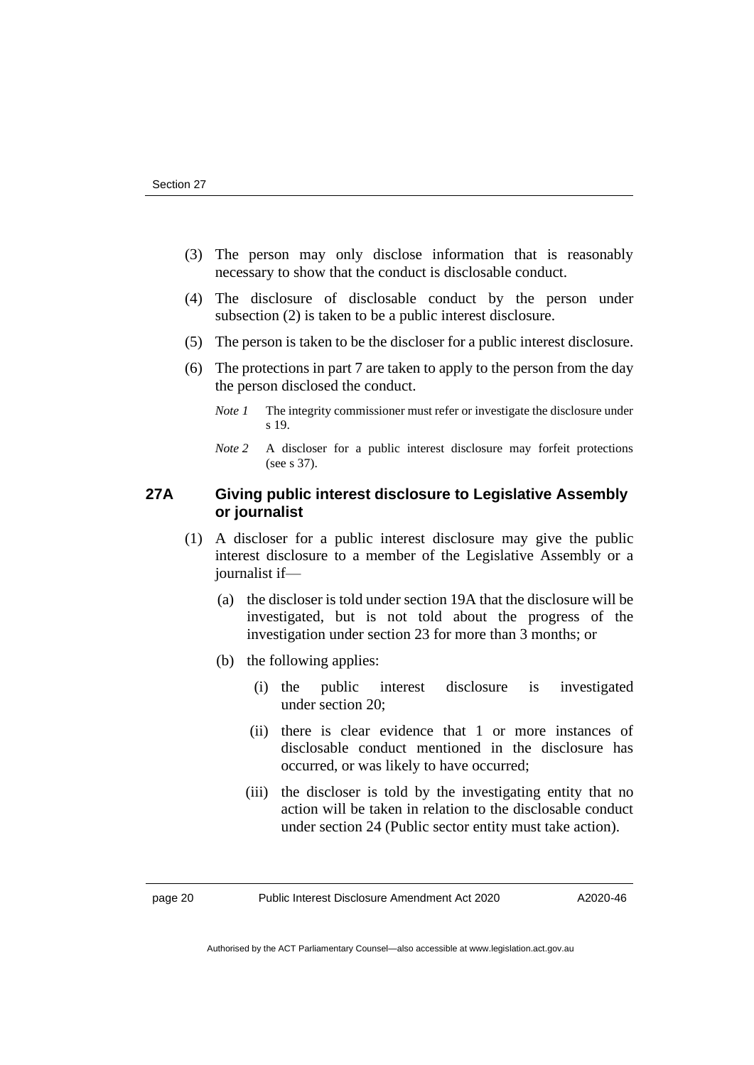- (3) The person may only disclose information that is reasonably necessary to show that the conduct is disclosable conduct.
- (4) The disclosure of disclosable conduct by the person under subsection (2) is taken to be a public interest disclosure.
- (5) The person is taken to be the discloser for a public interest disclosure.
- (6) The protections in part 7 are taken to apply to the person from the day the person disclosed the conduct.
	- *Note 1* The integrity commissioner must refer or investigate the disclosure under s 19.
	- *Note 2* A discloser for a public interest disclosure may forfeit protections (see s 37).

# **27A Giving public interest disclosure to Legislative Assembly or journalist**

- (1) A discloser for a public interest disclosure may give the public interest disclosure to a member of the Legislative Assembly or a journalist if—
	- (a) the discloser is told under section 19A that the disclosure will be investigated, but is not told about the progress of the investigation under section 23 for more than 3 months; or
	- (b) the following applies:
		- (i) the public interest disclosure is investigated under section 20;
		- (ii) there is clear evidence that 1 or more instances of disclosable conduct mentioned in the disclosure has occurred, or was likely to have occurred;
		- (iii) the discloser is told by the investigating entity that no action will be taken in relation to the disclosable conduct under section 24 (Public sector entity must take action).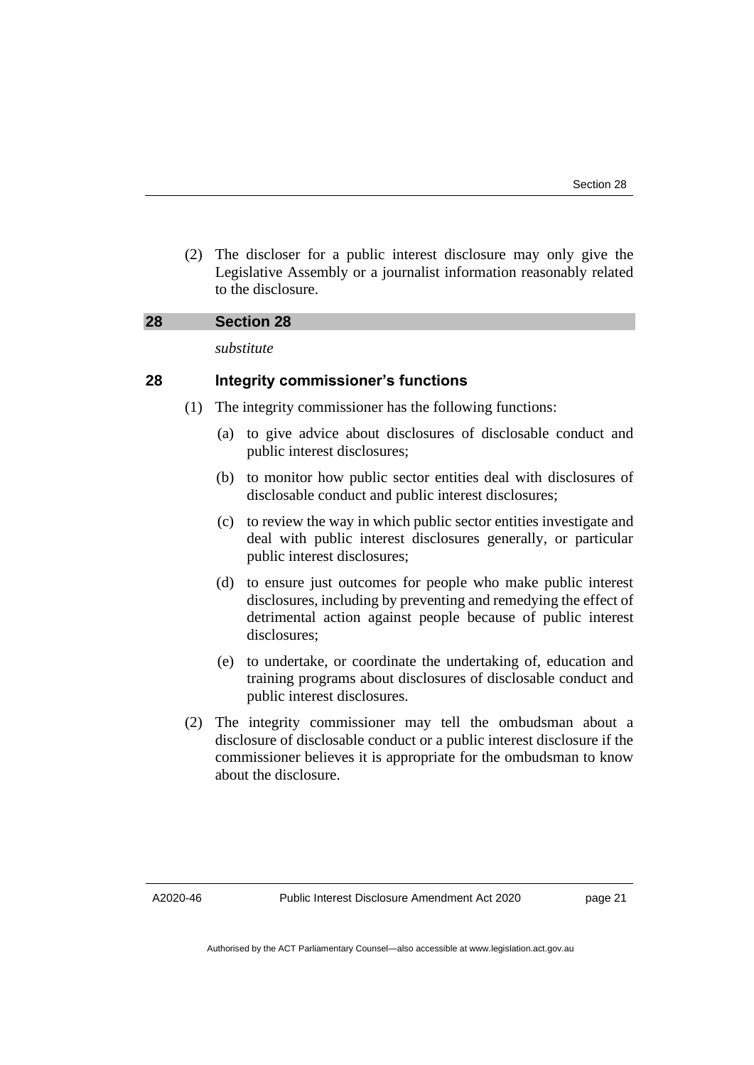(2) The discloser for a public interest disclosure may only give the Legislative Assembly or a journalist information reasonably related to the disclosure.

#### <span id="page-24-0"></span>**28 Section 28**

*substitute*

### **28 Integrity commissioner's functions**

- (1) The integrity commissioner has the following functions:
	- (a) to give advice about disclosures of disclosable conduct and public interest disclosures;
	- (b) to monitor how public sector entities deal with disclosures of disclosable conduct and public interest disclosures;
	- (c) to review the way in which public sector entities investigate and deal with public interest disclosures generally, or particular public interest disclosures;
	- (d) to ensure just outcomes for people who make public interest disclosures, including by preventing and remedying the effect of detrimental action against people because of public interest disclosures;
	- (e) to undertake, or coordinate the undertaking of, education and training programs about disclosures of disclosable conduct and public interest disclosures.
- (2) The integrity commissioner may tell the ombudsman about a disclosure of disclosable conduct or a public interest disclosure if the commissioner believes it is appropriate for the ombudsman to know about the disclosure.

A2020-46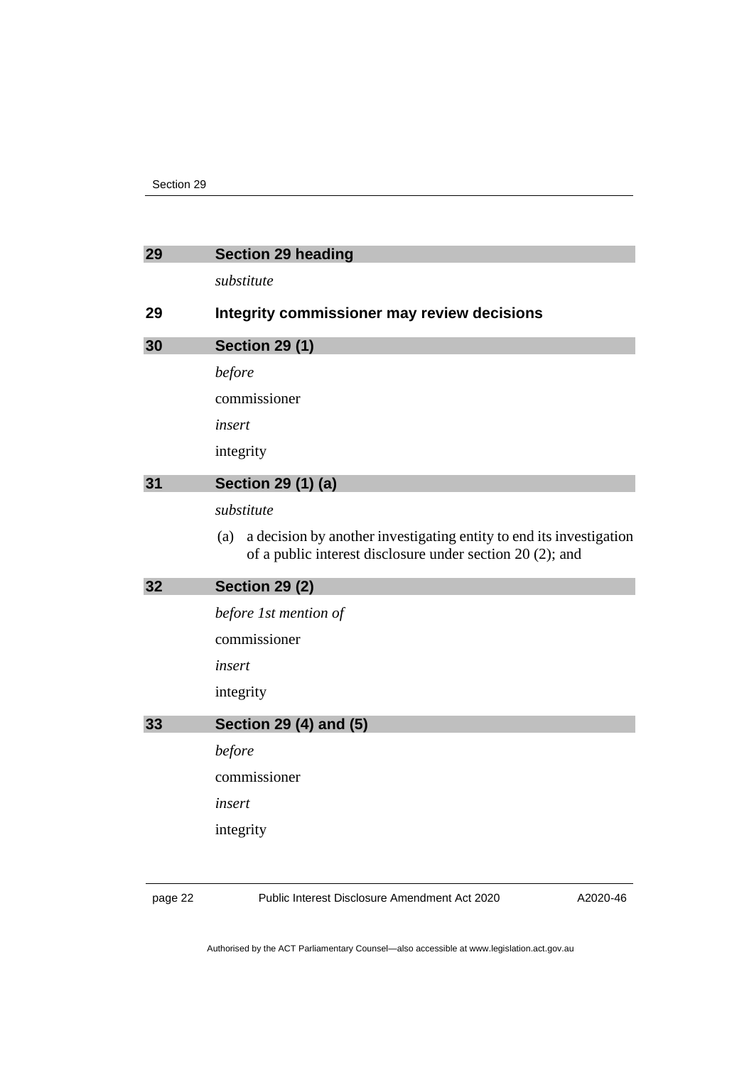<span id="page-25-3"></span><span id="page-25-2"></span><span id="page-25-1"></span><span id="page-25-0"></span>

| 29 | <b>Section 29 heading</b>                                                                                                               |
|----|-----------------------------------------------------------------------------------------------------------------------------------------|
|    | substitute                                                                                                                              |
| 29 | Integrity commissioner may review decisions                                                                                             |
| 30 | <b>Section 29 (1)</b>                                                                                                                   |
|    | before                                                                                                                                  |
|    | commissioner                                                                                                                            |
|    | insert                                                                                                                                  |
|    | integrity                                                                                                                               |
| 31 | Section 29 (1) (a)                                                                                                                      |
|    | substitute                                                                                                                              |
|    | a decision by another investigating entity to end its investigation<br>(a)<br>of a public interest disclosure under section 20 (2); and |
| 32 | <b>Section 29 (2)</b>                                                                                                                   |
|    |                                                                                                                                         |
|    | before 1st mention of                                                                                                                   |
|    | commissioner                                                                                                                            |
|    | insert                                                                                                                                  |
|    | integrity                                                                                                                               |
| 33 | Section 29 (4) and (5)                                                                                                                  |
|    | before                                                                                                                                  |
|    | commissioner                                                                                                                            |
|    | insert                                                                                                                                  |
|    | integrity                                                                                                                               |

<span id="page-25-4"></span>page 22 Public Interest Disclosure Amendment Act 2020

A2020-46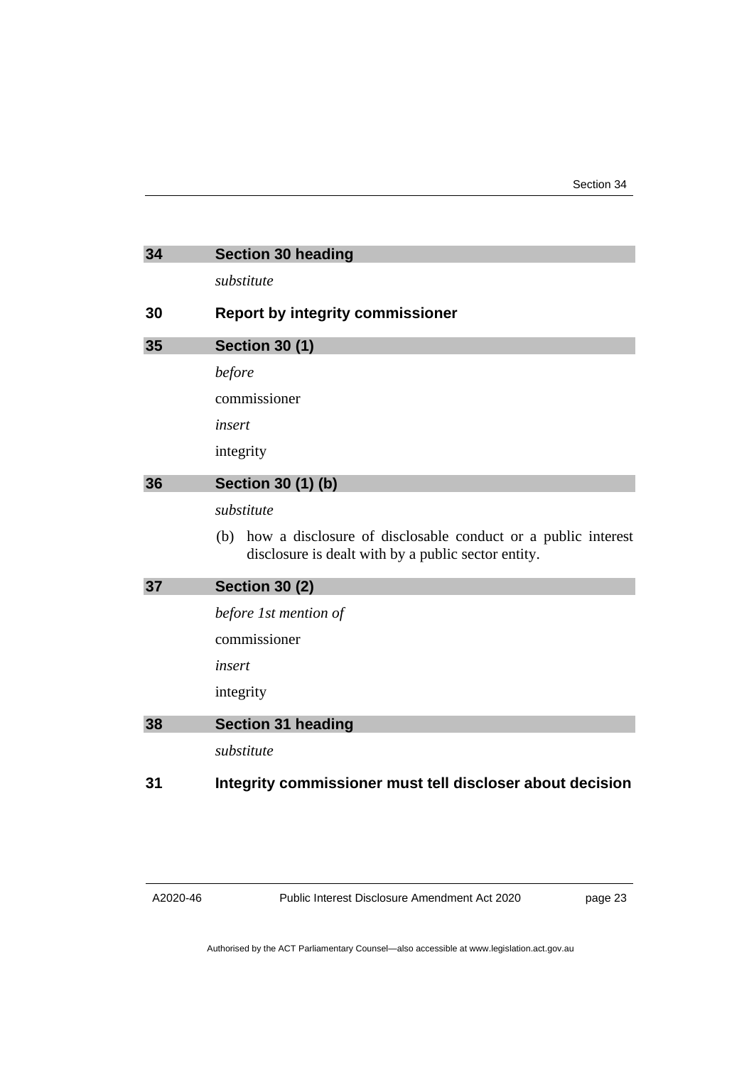<span id="page-26-3"></span><span id="page-26-2"></span><span id="page-26-1"></span><span id="page-26-0"></span>

| 34 | <b>Section 30 heading</b>                                                                                                  |
|----|----------------------------------------------------------------------------------------------------------------------------|
|    | substitute                                                                                                                 |
| 30 | <b>Report by integrity commissioner</b>                                                                                    |
| 35 | <b>Section 30 (1)</b>                                                                                                      |
|    | before                                                                                                                     |
|    | commissioner                                                                                                               |
|    | insert                                                                                                                     |
|    | integrity                                                                                                                  |
| 36 | <b>Section 30 (1) (b)</b>                                                                                                  |
|    | substitute                                                                                                                 |
|    | how a disclosure of disclosable conduct or a public interest<br>(b)<br>disclosure is dealt with by a public sector entity. |
| 37 | <b>Section 30 (2)</b>                                                                                                      |
|    | before 1st mention of                                                                                                      |
|    | commissioner                                                                                                               |
|    | insert                                                                                                                     |
|    | integrity                                                                                                                  |
| 38 | <b>Section 31 heading</b>                                                                                                  |
|    | substitute                                                                                                                 |
| 31 | Integrity commissioner must tell discloser about decision                                                                  |

<span id="page-26-4"></span>A2020-46

Public Interest Disclosure Amendment Act 2020

page 23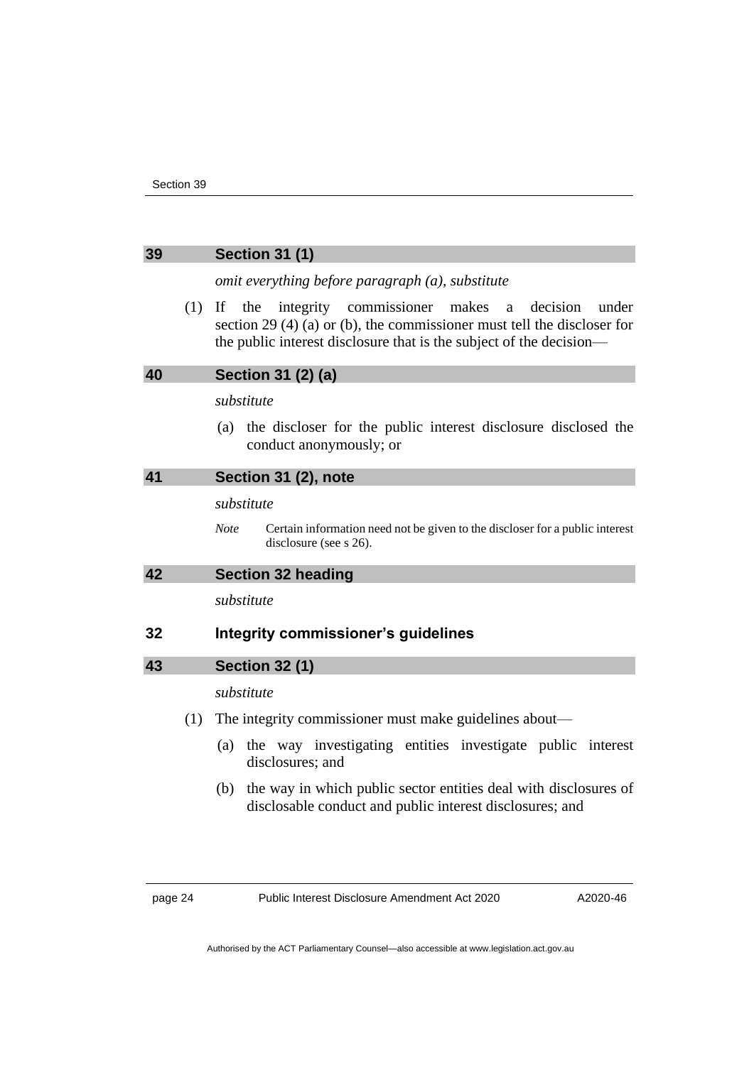<span id="page-27-2"></span><span id="page-27-1"></span><span id="page-27-0"></span>

| 39 |     | <b>Section 31 (1)</b>                                                                                                                                                                                                   |
|----|-----|-------------------------------------------------------------------------------------------------------------------------------------------------------------------------------------------------------------------------|
|    |     | omit everything before paragraph (a), substitute                                                                                                                                                                        |
|    | (1) | If<br>the<br>integrity commissioner makes<br>decision<br>under<br>a<br>section 29 $(4)$ (a) or (b), the commissioner must tell the discloser for<br>the public interest disclosure that is the subject of the decision— |
| 40 |     | Section 31 (2) (a)                                                                                                                                                                                                      |
|    |     | substitute                                                                                                                                                                                                              |
|    |     | (a) the discloser for the public interest disclosure disclosed the<br>conduct anonymously; or                                                                                                                           |
| 41 |     | Section 31 (2), note                                                                                                                                                                                                    |
|    |     | substitute                                                                                                                                                                                                              |
|    |     | <b>Note</b><br>Certain information need not be given to the discloser for a public interest<br>disclosure (see s 26).                                                                                                   |
| 42 |     | <b>Section 32 heading</b>                                                                                                                                                                                               |
|    |     | substitute                                                                                                                                                                                                              |
| 32 |     | Integrity commissioner's guidelines                                                                                                                                                                                     |
| 43 |     | <b>Section 32 (1)</b>                                                                                                                                                                                                   |
|    |     | substitute                                                                                                                                                                                                              |
|    | (1) | The integrity commissioner must make guidelines about—                                                                                                                                                                  |
|    |     | the way investigating entities investigate public interest<br>(a)<br>disclosures; and                                                                                                                                   |

<span id="page-27-4"></span><span id="page-27-3"></span>(b) the way in which public sector entities deal with disclosures of disclosable conduct and public interest disclosures; and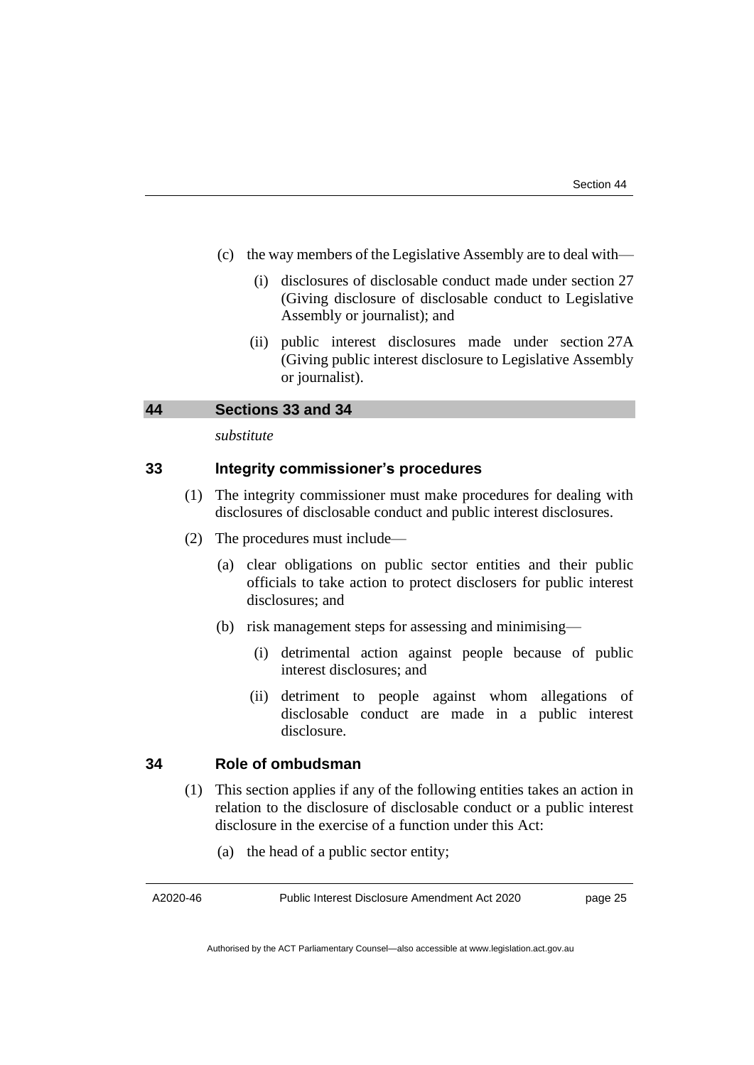- (c) the way members of the Legislative Assembly are to deal with—
	- (i) disclosures of disclosable conduct made under section 27 (Giving disclosure of disclosable conduct to Legislative Assembly or journalist); and
	- (ii) public interest disclosures made under section 27A (Giving public interest disclosure to Legislative Assembly or journalist).

<span id="page-28-0"></span>

| 44 | Sections 33 and 34 |  |  |
|----|--------------------|--|--|
|    |                    |  |  |

*substitute*

## **33 Integrity commissioner's procedures**

- (1) The integrity commissioner must make procedures for dealing with disclosures of disclosable conduct and public interest disclosures.
- (2) The procedures must include—
	- (a) clear obligations on public sector entities and their public officials to take action to protect disclosers for public interest disclosures; and
	- (b) risk management steps for assessing and minimising—
		- (i) detrimental action against people because of public interest disclosures; and
		- (ii) detriment to people against whom allegations of disclosable conduct are made in a public interest disclosure.

### **34 Role of ombudsman**

- (1) This section applies if any of the following entities takes an action in relation to the disclosure of disclosable conduct or a public interest disclosure in the exercise of a function under this Act:
	- (a) the head of a public sector entity;

A2020-46

Public Interest Disclosure Amendment Act 2020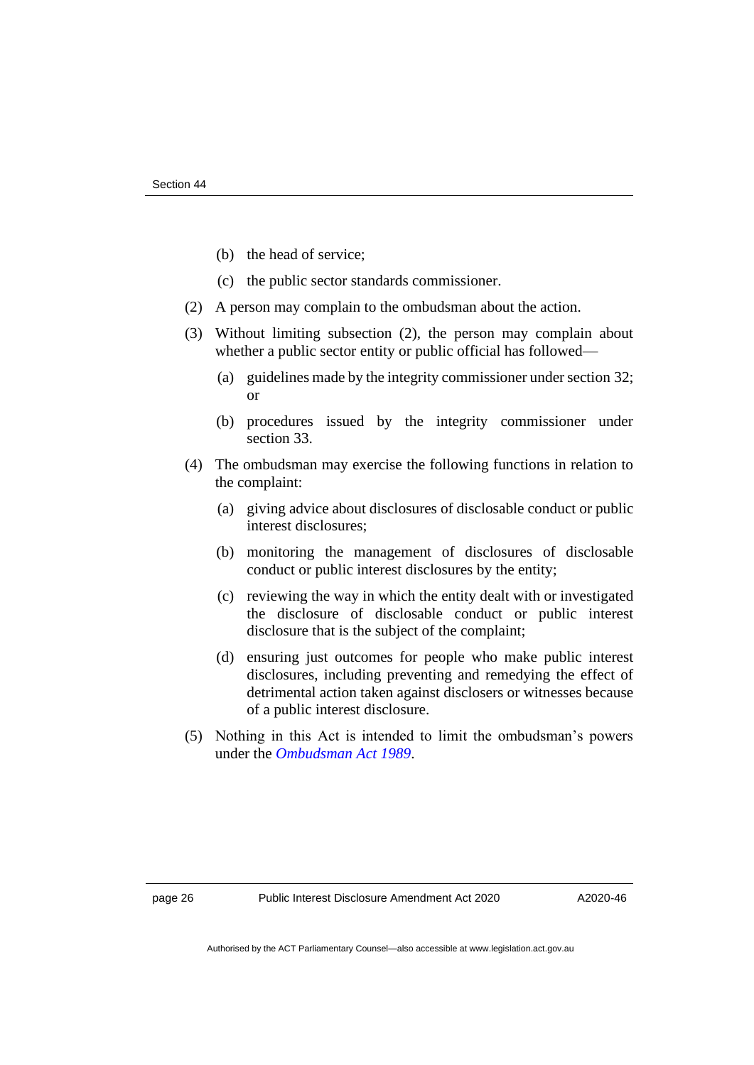- (b) the head of service;
- (c) the public sector standards commissioner.
- (2) A person may complain to the ombudsman about the action.
- (3) Without limiting subsection (2), the person may complain about whether a public sector entity or public official has followed—
	- (a) guidelines made by the integrity commissioner under section 32; or
	- (b) procedures issued by the integrity commissioner under section 33.
- (4) The ombudsman may exercise the following functions in relation to the complaint:
	- (a) giving advice about disclosures of disclosable conduct or public interest disclosures;
	- (b) monitoring the management of disclosures of disclosable conduct or public interest disclosures by the entity;
	- (c) reviewing the way in which the entity dealt with or investigated the disclosure of disclosable conduct or public interest disclosure that is the subject of the complaint;
	- (d) ensuring just outcomes for people who make public interest disclosures, including preventing and remedying the effect of detrimental action taken against disclosers or witnesses because of a public interest disclosure.
- (5) Nothing in this Act is intended to limit the ombudsman's powers under the *[Ombudsman Act 1989](http://www.legislation.act.gov.au/a/alt_a1989-45co)*.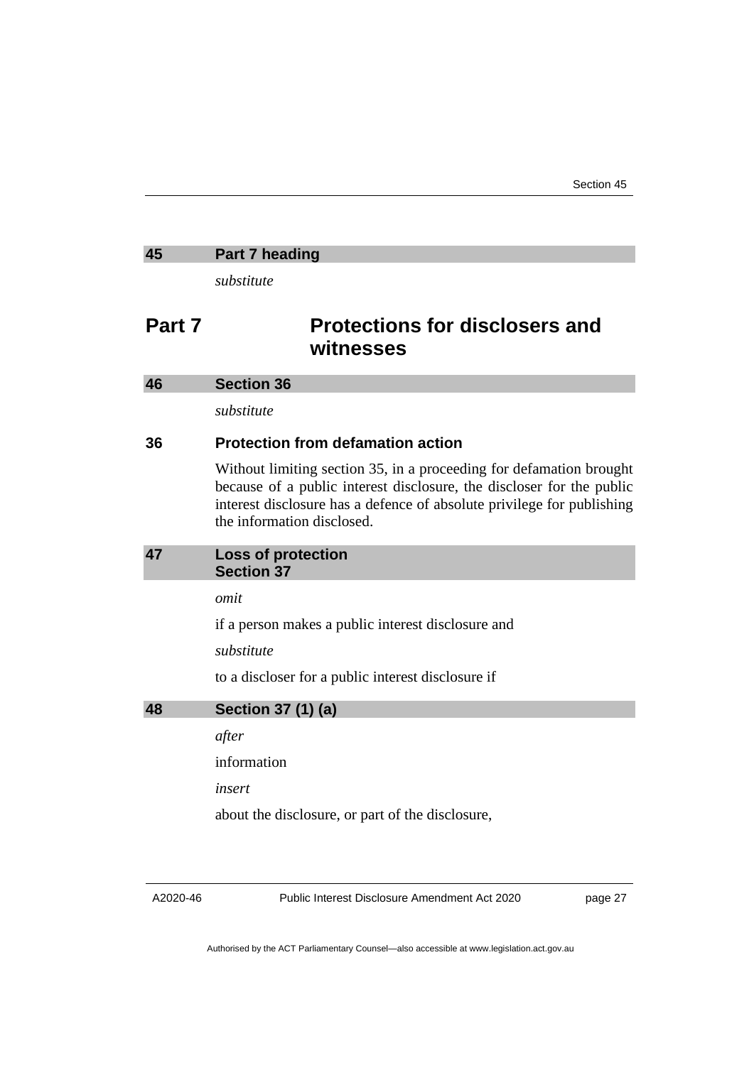### <span id="page-30-0"></span>**45 Part 7 heading**

*substitute*

# **Part 7 Protections for disclosers and witnesses**

#### <span id="page-30-1"></span>**46 Section 36**

*substitute*

# **36 Protection from defamation action**

Without limiting section 35, in a proceeding for defamation brought because of a public interest disclosure, the discloser for the public interest disclosure has a defence of absolute privilege for publishing the information disclosed.

<span id="page-30-2"></span>

| 47 |                   | <b>Loss of protection</b> |
|----|-------------------|---------------------------|
|    | <b>Section 37</b> |                           |

*omit*

if a person makes a public interest disclosure and

*substitute*

to a discloser for a public interest disclosure if

# <span id="page-30-3"></span>**48 Section 37 (1) (a)**

*after*

information

*insert*

about the disclosure, or part of the disclosure,

A2020-46

Public Interest Disclosure Amendment Act 2020

page 27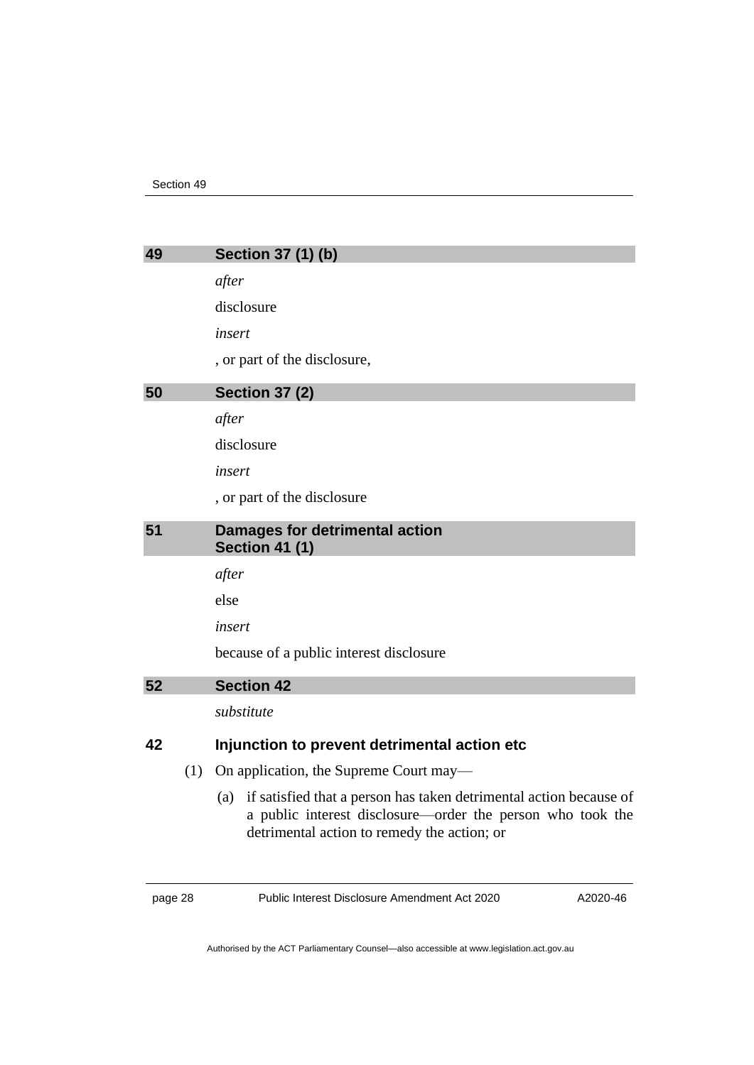<span id="page-31-2"></span><span id="page-31-1"></span><span id="page-31-0"></span>

| 49 |     | Section 37 (1) (b)                                                                                                                                                                  |
|----|-----|-------------------------------------------------------------------------------------------------------------------------------------------------------------------------------------|
|    |     | after                                                                                                                                                                               |
|    |     | disclosure                                                                                                                                                                          |
|    |     | insert                                                                                                                                                                              |
|    |     | , or part of the disclosure,                                                                                                                                                        |
| 50 |     | <b>Section 37 (2)</b>                                                                                                                                                               |
|    |     | after                                                                                                                                                                               |
|    |     | disclosure                                                                                                                                                                          |
|    |     | insert                                                                                                                                                                              |
|    |     | , or part of the disclosure                                                                                                                                                         |
| 51 |     | <b>Damages for detrimental action</b><br><b>Section 41 (1)</b>                                                                                                                      |
|    |     | after                                                                                                                                                                               |
|    |     | else                                                                                                                                                                                |
|    |     | insert                                                                                                                                                                              |
|    |     | because of a public interest disclosure                                                                                                                                             |
| 52 |     | <b>Section 42</b>                                                                                                                                                                   |
|    |     | substitute                                                                                                                                                                          |
| 42 |     | Injunction to prevent detrimental action etc                                                                                                                                        |
|    | (1) | On application, the Supreme Court may—                                                                                                                                              |
|    |     | (a) if satisfied that a person has taken detrimental action because of<br>a public interest disclosure—order the person who took the<br>detrimental action to remedy the action; or |
|    |     |                                                                                                                                                                                     |

<span id="page-31-3"></span>page 28 Public Interest Disclosure Amendment Act 2020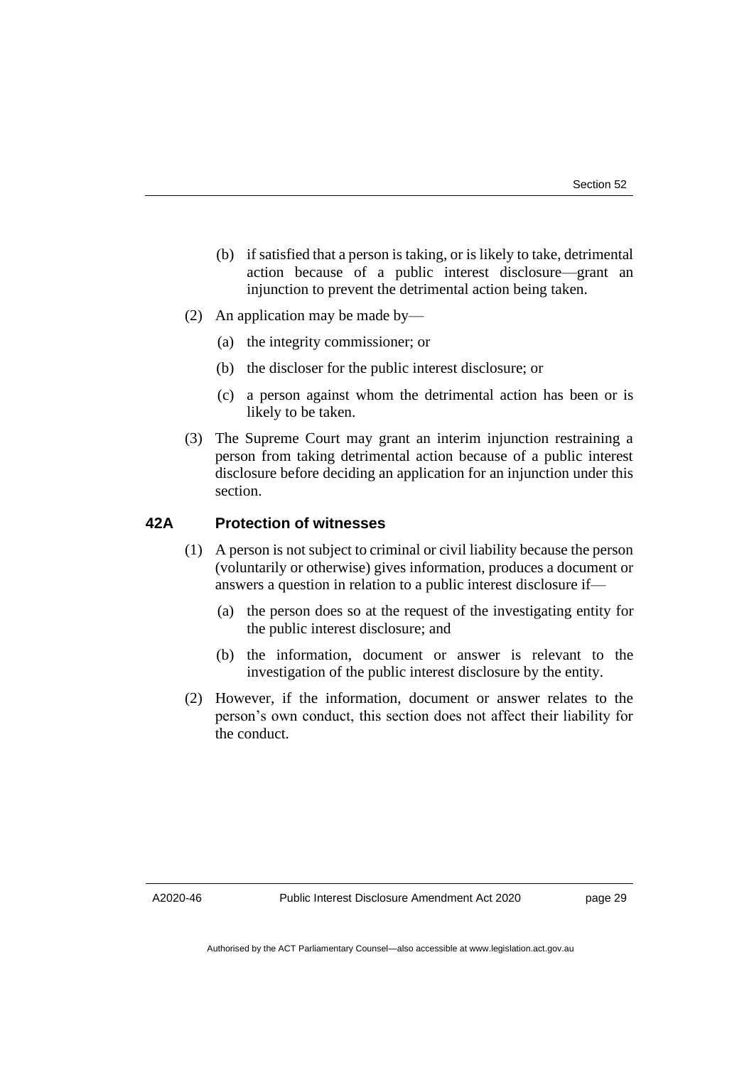- (b) if satisfied that a person is taking, or is likely to take, detrimental action because of a public interest disclosure—grant an injunction to prevent the detrimental action being taken.
- (2) An application may be made by—
	- (a) the integrity commissioner; or
	- (b) the discloser for the public interest disclosure; or
	- (c) a person against whom the detrimental action has been or is likely to be taken.
- (3) The Supreme Court may grant an interim injunction restraining a person from taking detrimental action because of a public interest disclosure before deciding an application for an injunction under this section.

#### **42A Protection of witnesses**

- (1) A person is not subject to criminal or civil liability because the person (voluntarily or otherwise) gives information, produces a document or answers a question in relation to a public interest disclosure if—
	- (a) the person does so at the request of the investigating entity for the public interest disclosure; and
	- (b) the information, document or answer is relevant to the investigation of the public interest disclosure by the entity.
- (2) However, if the information, document or answer relates to the person's own conduct, this section does not affect their liability for the conduct.

A2020-46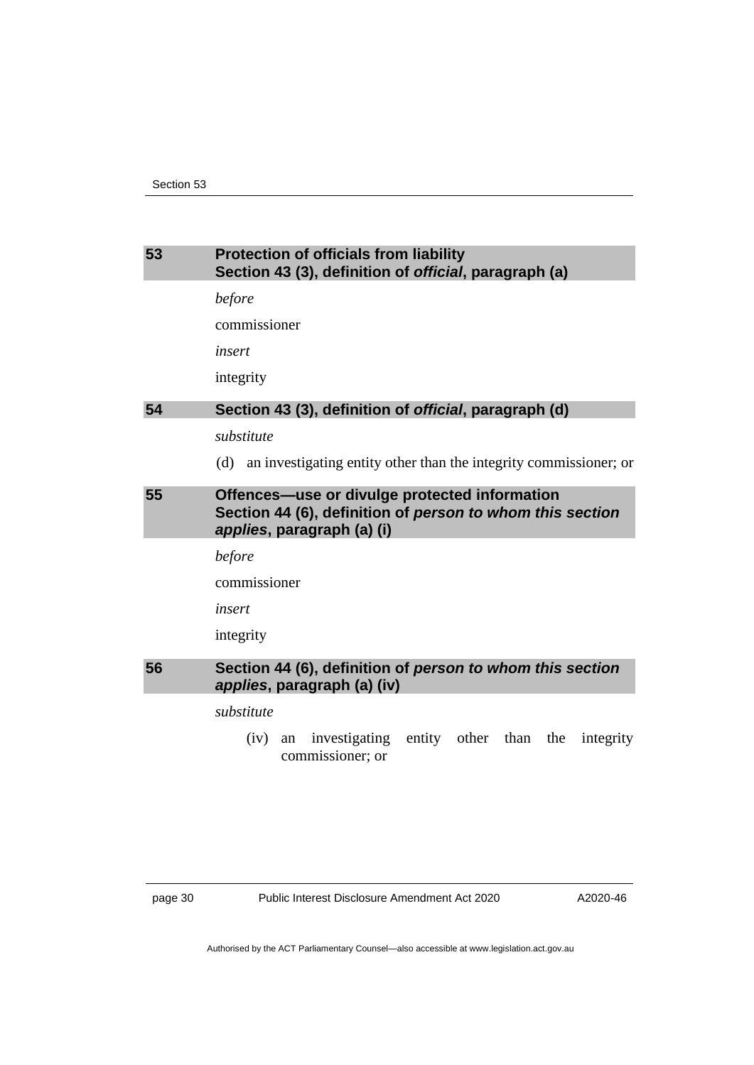# <span id="page-33-1"></span><span id="page-33-0"></span>**53 Protection of officials from liability Section 43 (3), definition of** *official***, paragraph (a)** *before* commissioner *insert* integrity **54 Section 43 (3), definition of** *official***, paragraph (d)** *substitute* (d) an investigating entity other than the integrity commissioner; or **55 Offences—use or divulge protected information Section 44 (6), definition of** *person to whom this section applies***, paragraph (a) (i)** *before* commissioner

<span id="page-33-2"></span>*insert* integrity

### <span id="page-33-3"></span>**56 Section 44 (6), definition of** *person to whom this section applies***, paragraph (a) (iv)**

*substitute*

(iv) an investigating entity other than the integrity commissioner; or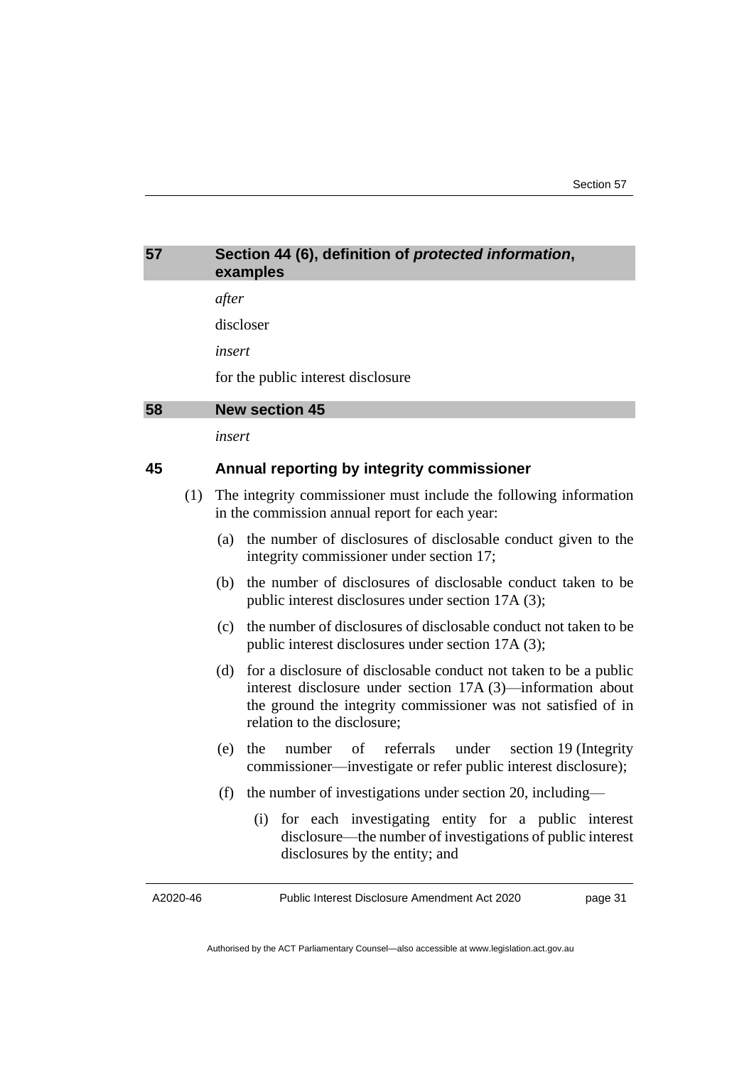<span id="page-34-1"></span><span id="page-34-0"></span>

| 57       |     | Section 44 (6), definition of protected information,<br>examples                                                                                                                                                                         |
|----------|-----|------------------------------------------------------------------------------------------------------------------------------------------------------------------------------------------------------------------------------------------|
|          |     | after                                                                                                                                                                                                                                    |
|          |     | discloser                                                                                                                                                                                                                                |
|          |     | insert                                                                                                                                                                                                                                   |
|          |     | for the public interest disclosure                                                                                                                                                                                                       |
| 58       |     | <b>New section 45</b>                                                                                                                                                                                                                    |
|          |     | insert                                                                                                                                                                                                                                   |
| 45       |     | Annual reporting by integrity commissioner                                                                                                                                                                                               |
|          | (1) | The integrity commissioner must include the following information<br>in the commission annual report for each year:                                                                                                                      |
|          |     | the number of disclosures of disclosable conduct given to the<br>(a)<br>integrity commissioner under section 17;                                                                                                                         |
|          |     | the number of disclosures of disclosable conduct taken to be<br>(b)<br>public interest disclosures under section 17A (3);                                                                                                                |
|          |     | the number of disclosures of disclosable conduct not taken to be<br>(c)<br>public interest disclosures under section 17A (3);                                                                                                            |
|          |     | for a disclosure of disclosable conduct not taken to be a public<br>(d)<br>interest disclosure under section $17A(3)$ —information about<br>the ground the integrity commissioner was not satisfied of in<br>relation to the disclosure; |
|          |     | referrals under<br>the<br>number<br>of<br>(e)<br>section 19 (Integrity<br>commissioner—investigate or refer public interest disclosure);                                                                                                 |
|          |     | the number of investigations under section 20, including—<br>(f)                                                                                                                                                                         |
|          |     | for each investigating entity for a public interest<br>(i)<br>disclosure—the number of investigations of public interest<br>disclosures by the entity; and                                                                               |
| A2020-46 |     | Public Interest Disclosure Amendment Act 2020<br>page 31                                                                                                                                                                                 |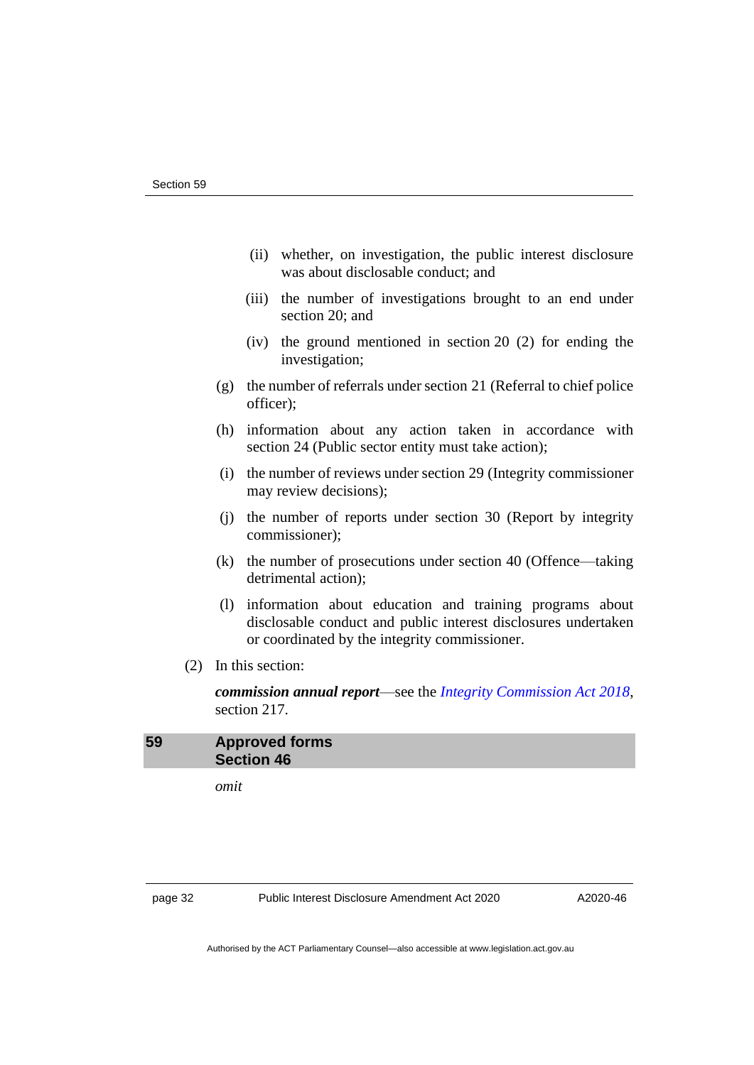- (ii) whether, on investigation, the public interest disclosure was about disclosable conduct; and
- (iii) the number of investigations brought to an end under section 20; and
- (iv) the ground mentioned in section 20 (2) for ending the investigation;
- (g) the number of referrals under section 21 (Referral to chief police officer);
- (h) information about any action taken in accordance with section 24 (Public sector entity must take action);
- (i) the number of reviews under section 29 (Integrity commissioner may review decisions);
- (j) the number of reports under section 30 (Report by integrity commissioner);
- (k) the number of prosecutions under section 40 (Offence—taking detrimental action);
- (l) information about education and training programs about disclosable conduct and public interest disclosures undertaken or coordinated by the integrity commissioner.
- (2) In this section:

*commission annual report*—see the *[Integrity Commission Act 2018](http://www.legislation.act.gov.au/a/2018-52)*, section 217.

### <span id="page-35-0"></span>**59 Approved forms Section 46**

*omit*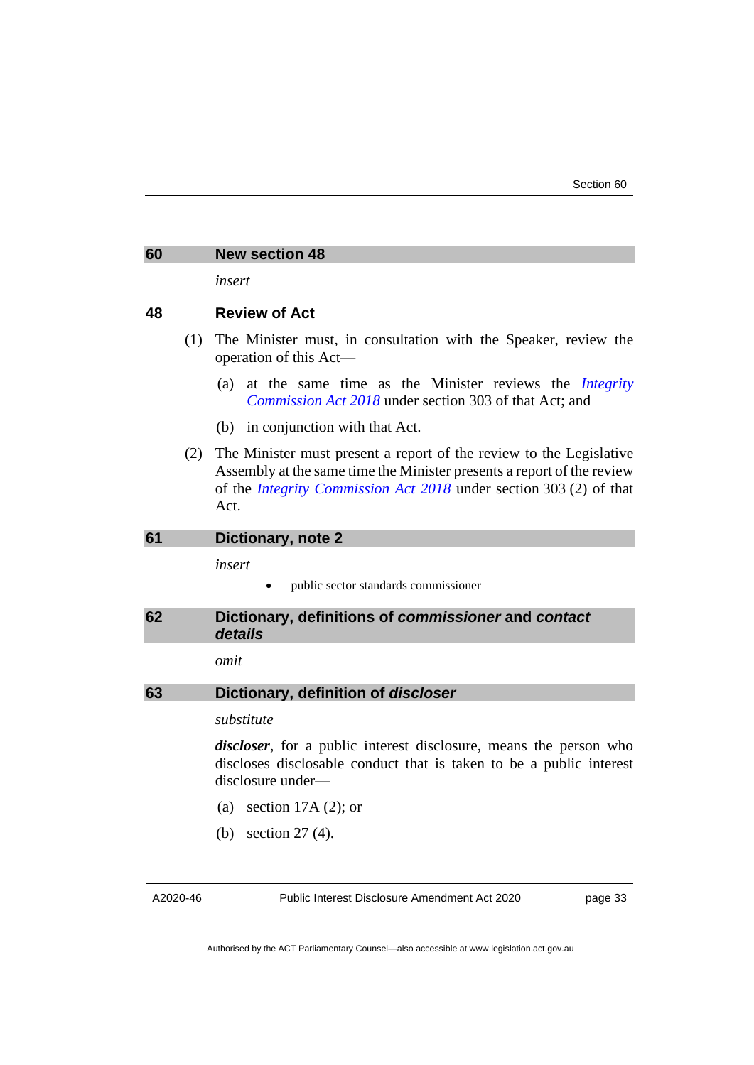#### <span id="page-36-0"></span>**60 New section 48**

*insert*

#### **48 Review of Act**

- (1) The Minister must, in consultation with the Speaker, review the operation of this Act—
	- (a) at the same time as the Minister reviews the *[Integrity](http://www.legislation.act.gov.au/a/2018-52)  [Commission Act 2018](http://www.legislation.act.gov.au/a/2018-52)* under section 303 of that Act; and
	- (b) in conjunction with that Act.
- (2) The Minister must present a report of the review to the Legislative Assembly at the same time the Minister presents a report of the review of the *[Integrity Commission Act 2018](http://www.legislation.act.gov.au/a/2018-52)* under section 303 (2) of that Act.

#### <span id="page-36-1"></span>**61 Dictionary, note 2**

*insert*

public sector standards commissioner

<span id="page-36-2"></span>**62 Dictionary, definitions of** *commissioner* **and** *contact details*

*omit*

<span id="page-36-3"></span>

| 63<br>Dictionary, definition of <i>discloser</i> |
|--------------------------------------------------|
|--------------------------------------------------|

*substitute*

*discloser*, for a public interest disclosure, means the person who discloses disclosable conduct that is taken to be a public interest disclosure under—

- (a) section 17A (2); or
- (b) section 27 (4).

A2020-46

Public Interest Disclosure Amendment Act 2020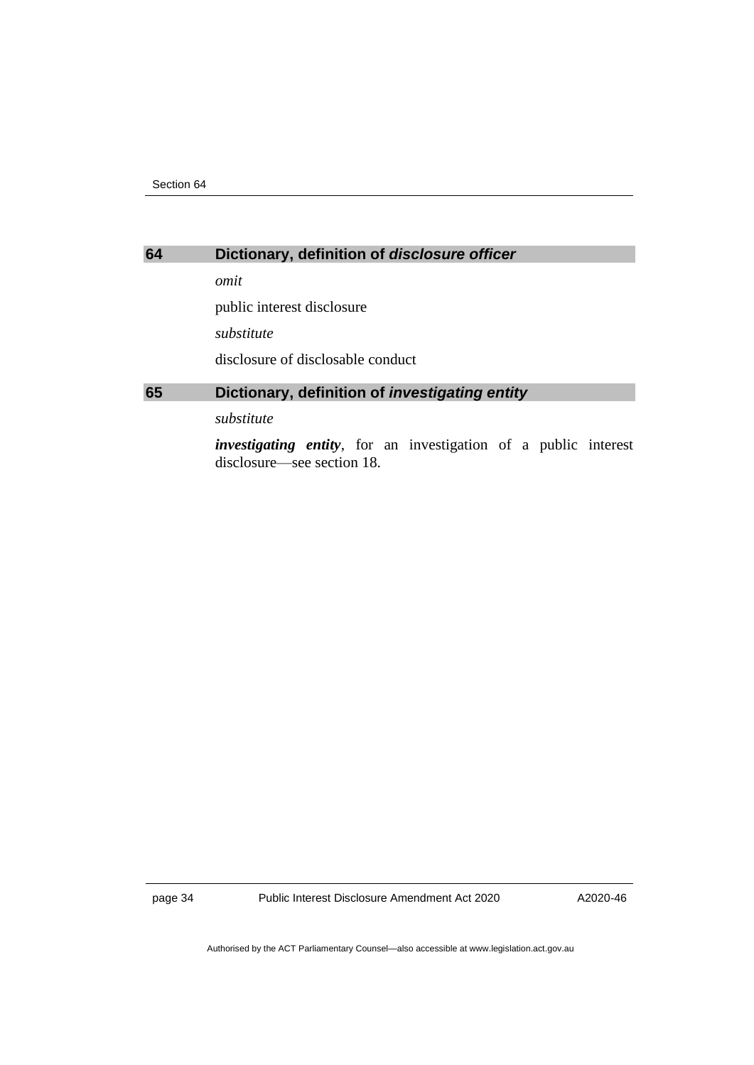# <span id="page-37-0"></span>**64 Dictionary, definition of** *disclosure officer*

*omit*

public interest disclosure

*substitute*

disclosure of disclosable conduct

# <span id="page-37-1"></span>**65 Dictionary, definition of** *investigating entity*

*substitute*

*investigating entity*, for an investigation of a public interest disclosure—see section 18.

page 34 Public Interest Disclosure Amendment Act 2020

A2020-46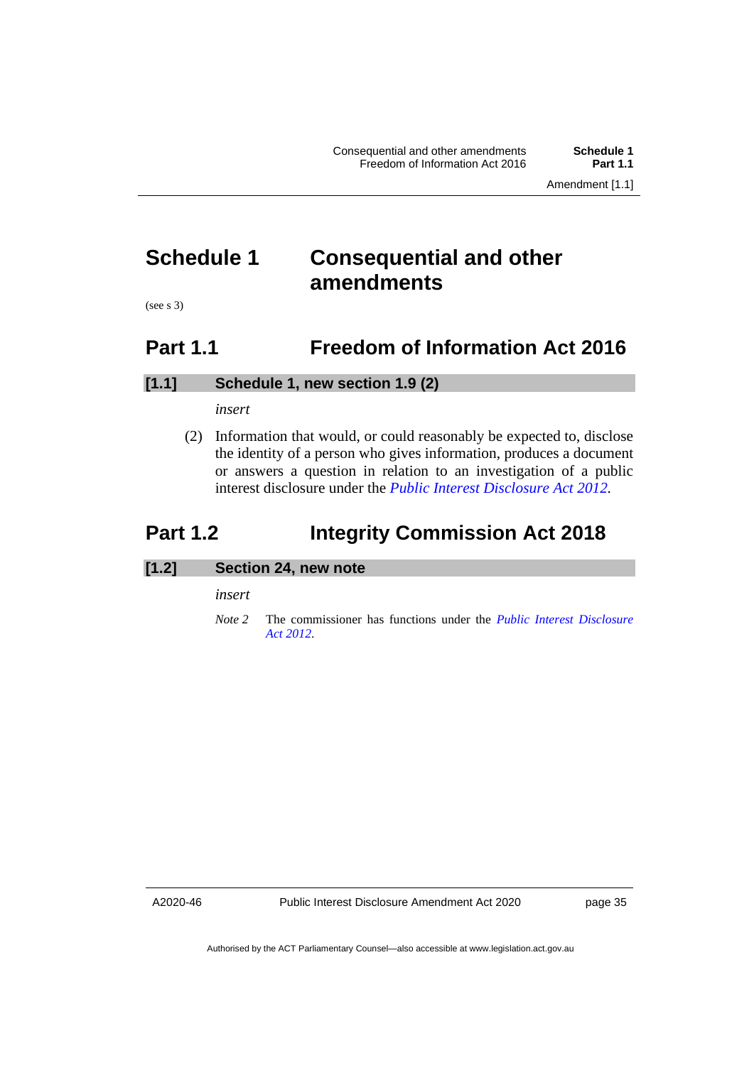# <span id="page-38-0"></span>**Schedule 1 Consequential and other amendments**

<span id="page-38-1"></span>(see s 3)

# **Part 1.1 Freedom of Information Act 2016**

### **[1.1] Schedule 1, new section 1.9 (2)**

#### *insert*

(2) Information that would, or could reasonably be expected to, disclose the identity of a person who gives information, produces a document or answers a question in relation to an investigation of a public interest disclosure under the *[Public Interest Disclosure Act](http://www.legislation.act.gov.au/a/2012-43) 2012.*

# <span id="page-38-2"></span>**Part 1.2 Integrity Commission Act 2018**

# **[1.2] Section 24, new note**

*insert*

*Note 2* The commissioner has functions under the *[Public Interest Disclosure](http://www.legislation.act.gov.au/a/2012-43)  Act [2012](http://www.legislation.act.gov.au/a/2012-43)*.

A2020-46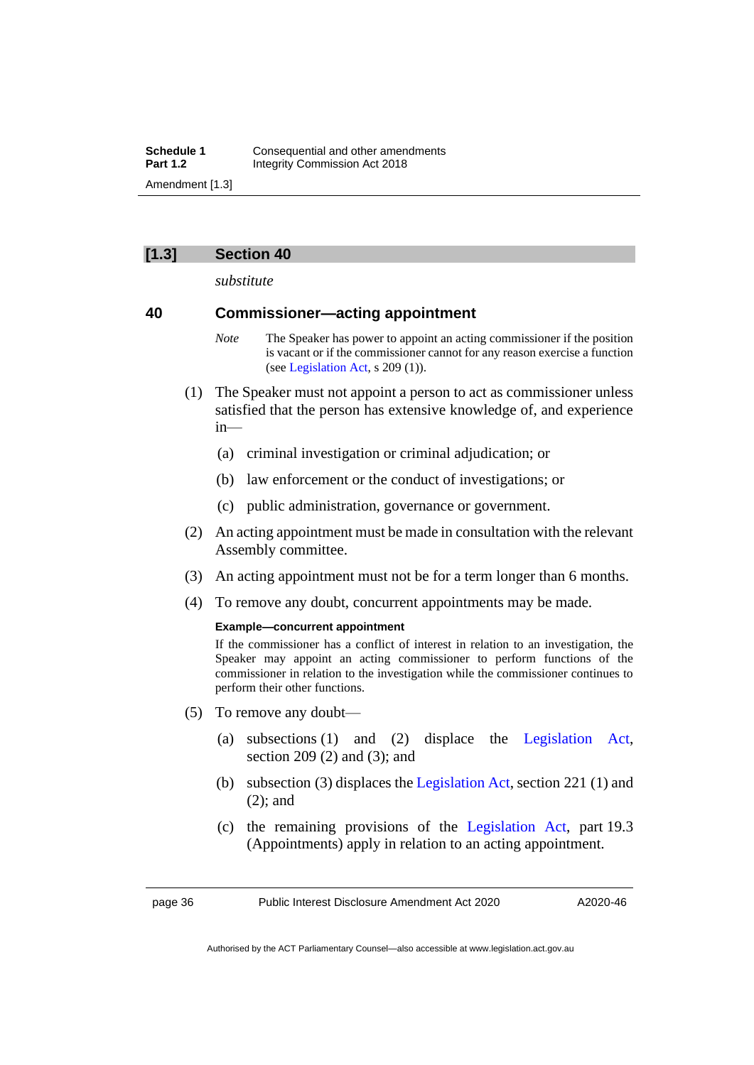#### **[1.3] Section 40**

*substitute*

# **40 Commissioner—acting appointment**

- *Note* The Speaker has power to appoint an acting commissioner if the position is vacant or if the commissioner cannot for any reason exercise a function (see [Legislation Act,](http://www.legislation.act.gov.au/a/2001-14) s 209 (1)).
- (1) The Speaker must not appoint a person to act as commissioner unless satisfied that the person has extensive knowledge of, and experience in—
	- (a) criminal investigation or criminal adjudication; or
	- (b) law enforcement or the conduct of investigations; or
	- (c) public administration, governance or government.
- (2) An acting appointment must be made in consultation with the relevant Assembly committee.
- (3) An acting appointment must not be for a term longer than 6 months.
- (4) To remove any doubt, concurrent appointments may be made.

#### **Example—concurrent appointment**

If the commissioner has a conflict of interest in relation to an investigation, the Speaker may appoint an acting commissioner to perform functions of the commissioner in relation to the investigation while the commissioner continues to perform their other functions.

- (5) To remove any doubt—
	- (a) subsections (1) and (2) displace the [Legislation Act,](http://www.legislation.act.gov.au/a/2001-14) section 209 (2) and (3); and
	- (b) subsection (3) displaces the [Legislation Act,](http://www.legislation.act.gov.au/a/2001-14) section 221 (1) and (2); and
	- (c) the remaining provisions of the [Legislation Act,](http://www.legislation.act.gov.au/a/2001-14) part 19.3 (Appointments) apply in relation to an acting appointment.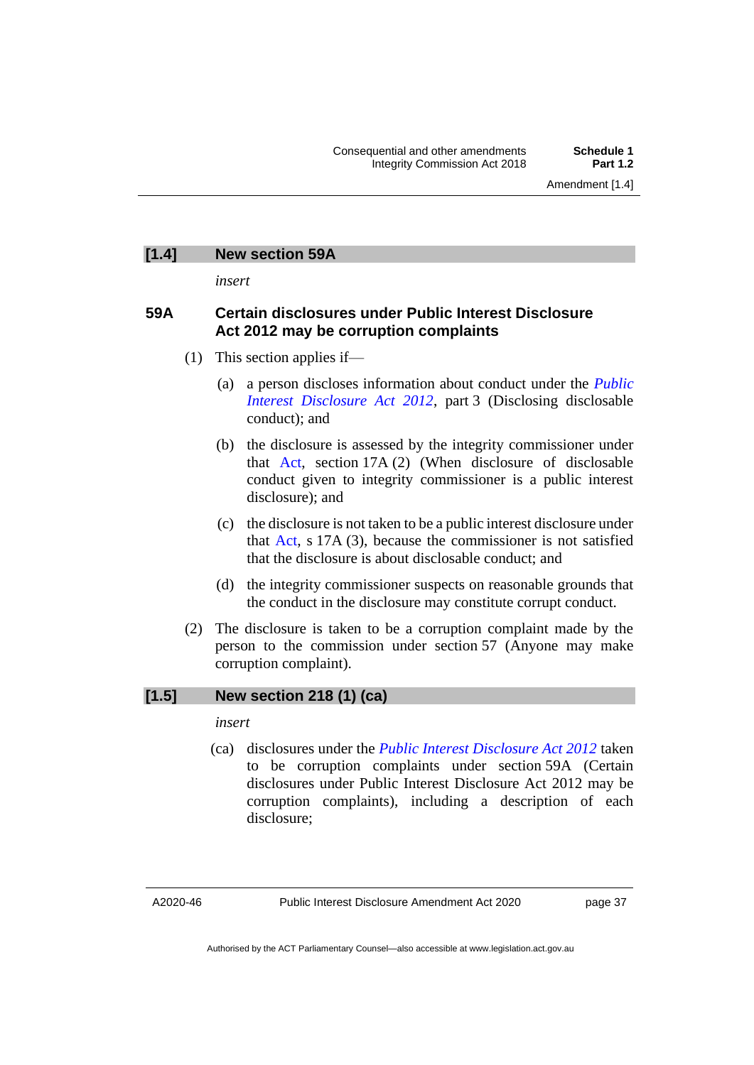# **[1.4] New section 59A**

*insert*

### **59A Certain disclosures under Public Interest Disclosure Act 2012 may be corruption complaints**

- (1) This section applies if—
	- (a) a person discloses information about conduct under the *[Public](http://www.legislation.act.gov.au/a/2012-43)  [Interest Disclosure Act 2012](http://www.legislation.act.gov.au/a/2012-43)*, part 3 (Disclosing disclosable conduct); and
	- (b) the disclosure is assessed by the integrity commissioner under that [Act,](https://www.legislation.act.gov.au/a/2012-43/) section 17A (2) (When disclosure of disclosable conduct given to integrity commissioner is a public interest disclosure); and
	- (c) the disclosure is not taken to be a public interest disclosure under that [Act,](https://www.legislation.act.gov.au/a/2012-43/) s 17A (3), because the commissioner is not satisfied that the disclosure is about disclosable conduct; and
	- (d) the integrity commissioner suspects on reasonable grounds that the conduct in the disclosure may constitute corrupt conduct.
- (2) The disclosure is taken to be a corruption complaint made by the person to the commission under section 57 (Anyone may make corruption complaint).

# **[1.5] New section 218 (1) (ca)**

*insert*

(ca) disclosures under the *[Public Interest Disclosure Act 2012](http://www.legislation.act.gov.au/a/2012-43)* taken to be corruption complaints under section 59A (Certain disclosures under Public Interest Disclosure Act 2012 may be corruption complaints), including a description of each disclosure;

A2020-46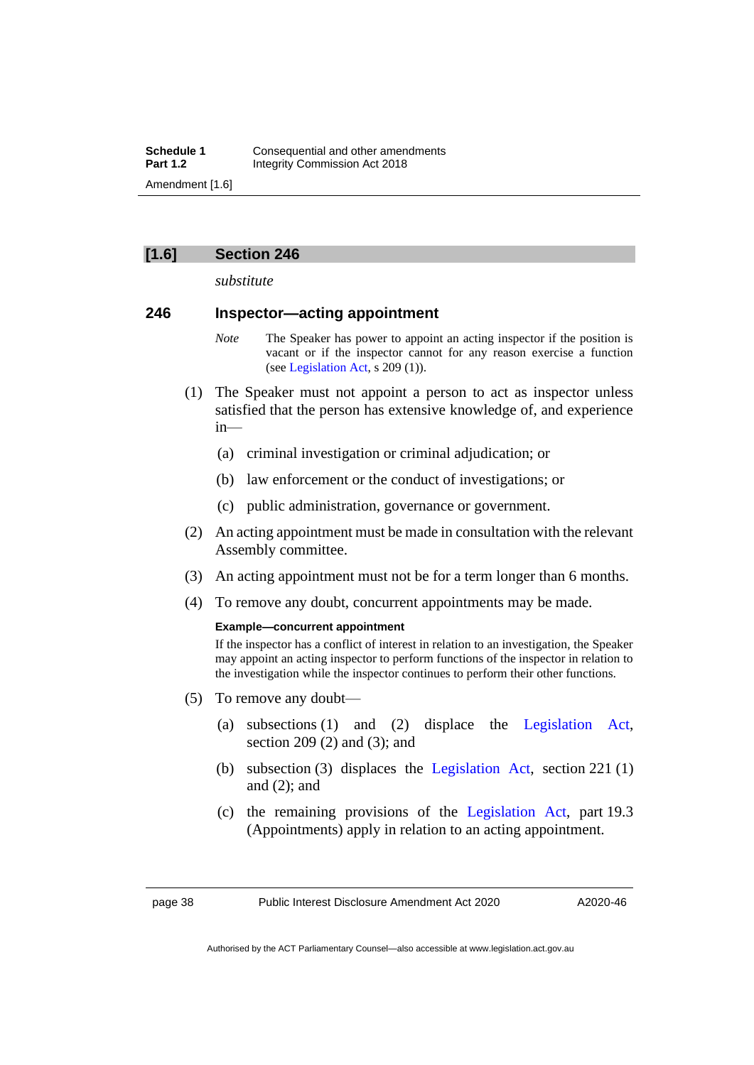### **[1.6] Section 246**

*substitute*

#### **246 Inspector—acting appointment**

- *Note* The Speaker has power to appoint an acting inspector if the position is vacant or if the inspector cannot for any reason exercise a function (see [Legislation Act,](http://www.legislation.act.gov.au/a/2001-14) s 209 (1)).
- (1) The Speaker must not appoint a person to act as inspector unless satisfied that the person has extensive knowledge of, and experience in—
	- (a) criminal investigation or criminal adjudication; or
	- (b) law enforcement or the conduct of investigations; or
	- (c) public administration, governance or government.
- (2) An acting appointment must be made in consultation with the relevant Assembly committee.
- (3) An acting appointment must not be for a term longer than 6 months.
- (4) To remove any doubt, concurrent appointments may be made.

#### **Example—concurrent appointment**

If the inspector has a conflict of interest in relation to an investigation, the Speaker may appoint an acting inspector to perform functions of the inspector in relation to the investigation while the inspector continues to perform their other functions.

- (5) To remove any doubt—
	- (a) subsections (1) and (2) displace the [Legislation Act,](http://www.legislation.act.gov.au/a/2001-14) section 209 (2) and (3); and
	- (b) subsection (3) displaces the [Legislation Act,](http://www.legislation.act.gov.au/a/2001-14) section 221 (1) and (2); and
	- (c) the remaining provisions of the [Legislation Act,](http://www.legislation.act.gov.au/a/2001-14) part 19.3 (Appointments) apply in relation to an acting appointment.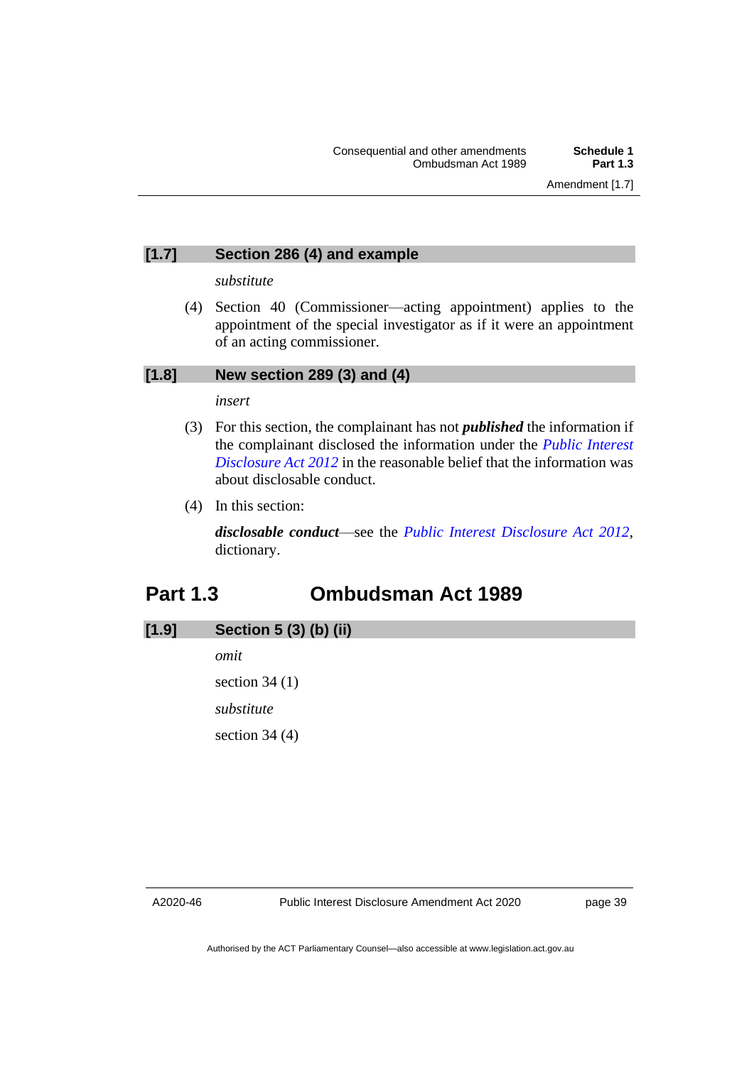# **[1.7] Section 286 (4) and example**

#### *substitute*

(4) Section 40 (Commissioner—acting appointment) applies to the appointment of the special investigator as if it were an appointment of an acting commissioner.

# **[1.8] New section 289 (3) and (4)**

#### *insert*

- (3) For this section, the complainant has not *published* the information if the complainant disclosed the information under the *[Public Interest](http://www.legislation.act.gov.au/a/2012-43)  [Disclosure Act 2012](http://www.legislation.act.gov.au/a/2012-43)* in the reasonable belief that the information was about disclosable conduct.
- (4) In this section:

*disclosable conduct*—see the *[Public Interest Disclosure Act 2012](http://www.legislation.act.gov.au/a/2012-43)*, dictionary.

# <span id="page-42-0"></span>**Part 1.3 Ombudsman Act 1989**

# **[1.9] Section 5 (3) (b) (ii)**

*omit* section 34 (1) *substitute* section 34 (4)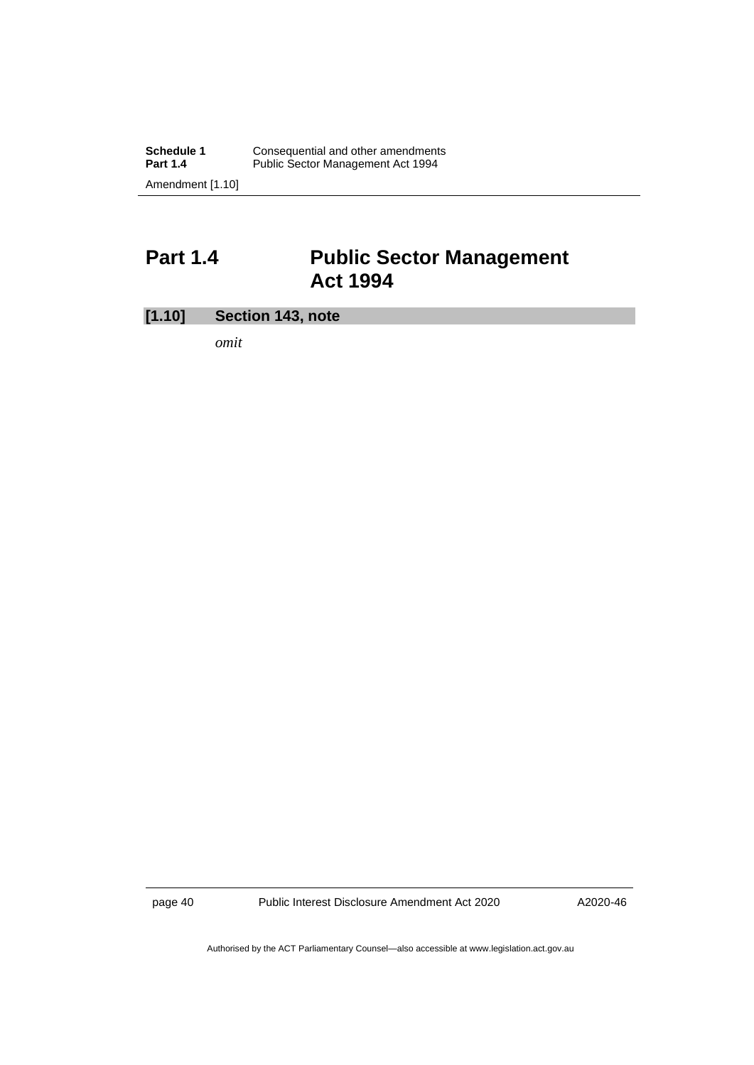# <span id="page-43-0"></span>**Part 1.4 Public Sector Management Act 1994**

# **[1.10] Section 143, note**

*omit*

page 40 Public Interest Disclosure Amendment Act 2020

A2020-46